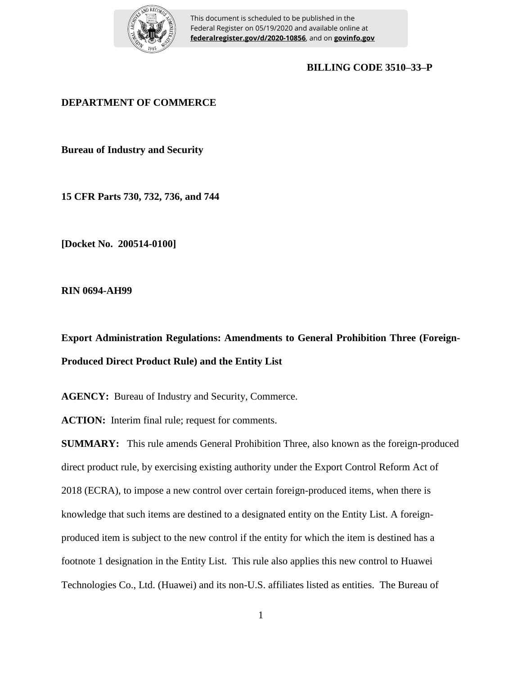

This document is scheduled to be published in the Federal Register on 05/19/2020 and available online at **federalregister.gov/d/2020-10856**, and on **govinfo.gov**

## **BILLING CODE 3510–33–P**

# **DEPARTMENT OF COMMERCE**

**Bureau of Industry and Security**

**15 CFR Parts 730, 732, 736, and 744**

**[Docket No. 200514-0100]**

**RIN 0694-AH99**

**Export Administration Regulations: Amendments to General Prohibition Three (Foreign-Produced Direct Product Rule) and the Entity List**

AGENCY: Bureau of Industry and Security, Commerce.

**ACTION:** Interim final rule; request for comments.

**SUMMARY:** This rule amends General Prohibition Three, also known as the foreign-produced direct product rule, by exercising existing authority under the Export Control Reform Act of 2018 (ECRA), to impose a new control over certain foreign-produced items, when there is knowledge that such items are destined to a designated entity on the Entity List. A foreignproduced item is subject to the new control if the entity for which the item is destined has a footnote 1 designation in the Entity List. This rule also applies this new control to Huawei Technologies Co., Ltd. (Huawei) and its non-U.S. affiliates listed as entities. The Bureau of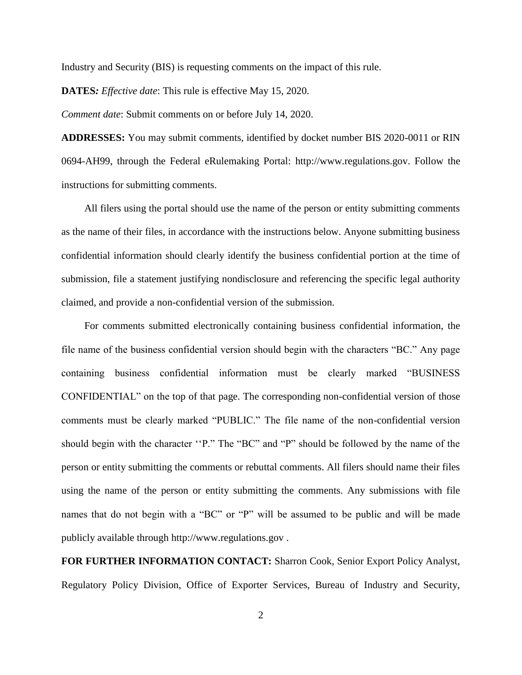Industry and Security (BIS) is requesting comments on the impact of this rule.

**DATES***: Effective date*: This rule is effective May 15, 2020.

*Comment date*: Submit comments on or before July 14, 2020.

**ADDRESSES:** You may submit comments, identified by docket number BIS 2020-0011 or RIN 0694-AH99, through the Federal eRulemaking Portal: http://www.regulations.gov. Follow the instructions for submitting comments.

All filers using the portal should use the name of the person or entity submitting comments as the name of their files, in accordance with the instructions below. Anyone submitting business confidential information should clearly identify the business confidential portion at the time of submission, file a statement justifying nondisclosure and referencing the specific legal authority claimed, and provide a non-confidential version of the submission.

For comments submitted electronically containing business confidential information, the file name of the business confidential version should begin with the characters "BC." Any page containing business confidential information must be clearly marked "BUSINESS CONFIDENTIAL" on the top of that page. The corresponding non-confidential version of those comments must be clearly marked "PUBLIC." The file name of the non-confidential version should begin with the character ''P." The "BC" and "P" should be followed by the name of the person or entity submitting the comments or rebuttal comments. All filers should name their files using the name of the person or entity submitting the comments. Any submissions with file names that do not begin with a "BC" or "P" will be assumed to be public and will be made publicly available through http://www.regulations.gov .

**FOR FURTHER INFORMATION CONTACT:** Sharron Cook, Senior Export Policy Analyst, Regulatory Policy Division, Office of Exporter Services, Bureau of Industry and Security,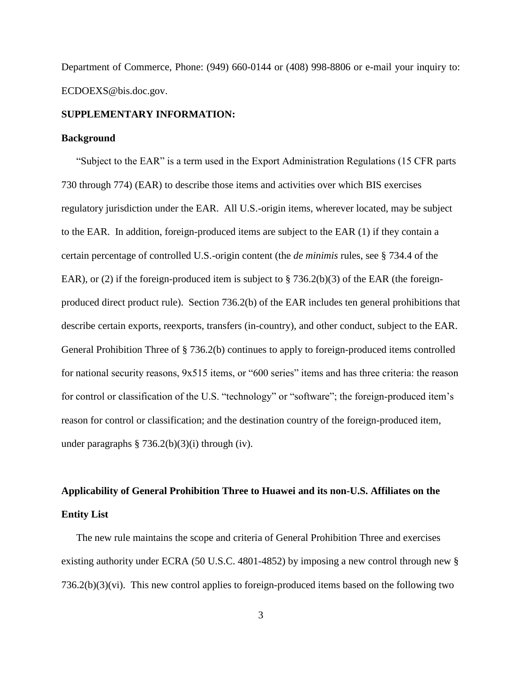Department of Commerce, Phone: (949) 660-0144 or (408) 998-8806 or e-mail your inquiry to: ECDOEXS@bis.doc.gov.

#### **SUPPLEMENTARY INFORMATION:**

#### **Background**

"Subject to the EAR" is a term used in the Export Administration Regulations (15 CFR parts 730 through 774) (EAR) to describe those items and activities over which BIS exercises regulatory jurisdiction under the EAR. All U.S.-origin items, wherever located, may be subject to the EAR. In addition, foreign-produced items are subject to the EAR (1) if they contain a certain percentage of controlled U.S.-origin content (the *de minimis* rules, see § 734.4 of the EAR), or (2) if the foreign-produced item is subject to  $\S$  736.2(b)(3) of the EAR (the foreignproduced direct product rule). Section 736.2(b) of the EAR includes ten general prohibitions that describe certain exports, reexports, transfers (in-country), and other conduct, subject to the EAR. General Prohibition Three of § 736.2(b) continues to apply to foreign-produced items controlled for national security reasons, 9x515 items, or "600 series" items and has three criteria: the reason for control or classification of the U.S. "technology" or "software"; the foreign-produced item's reason for control or classification; and the destination country of the foreign-produced item, under paragraphs  $\S 736.2(b)(3)(i)$  through (iv).

# **Applicability of General Prohibition Three to Huawei and its non-U.S. Affiliates on the Entity List**

The new rule maintains the scope and criteria of General Prohibition Three and exercises existing authority under ECRA (50 U.S.C. 4801-4852) by imposing a new control through new § 736.2(b)(3)(vi). This new control applies to foreign-produced items based on the following two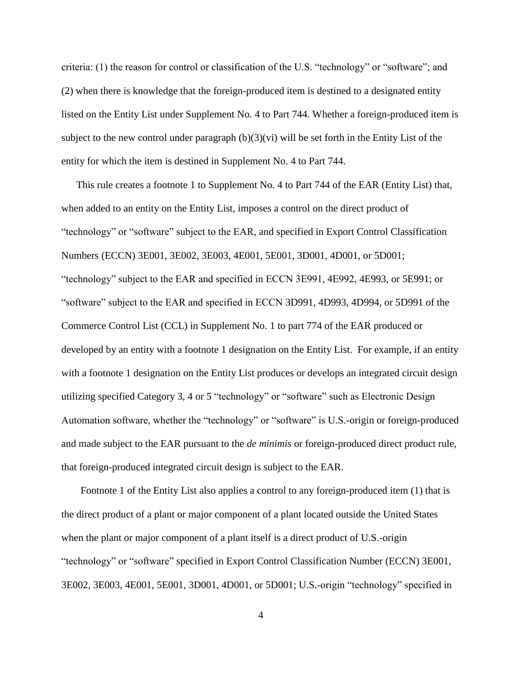criteria: (1) the reason for control or classification of the U.S. "technology" or "software"; and (2) when there is knowledge that the foreign-produced item is destined to a designated entity listed on the Entity List under Supplement No. 4 to Part 744. Whether a foreign-produced item is subject to the new control under paragraph  $(b)(3)(vi)$  will be set forth in the Entity List of the entity for which the item is destined in Supplement No. 4 to Part 744.

This rule creates a footnote 1 to Supplement No. 4 to Part 744 of the EAR (Entity List) that, when added to an entity on the Entity List, imposes a control on the direct product of "technology" or "software" subject to the EAR, and specified in Export Control Classification Numbers (ECCN) 3E001, 3E002, 3E003, 4E001, 5E001, 3D001, 4D001, or 5D001; "technology" subject to the EAR and specified in ECCN 3E991, 4E992, 4E993, or 5E991; or "software" subject to the EAR and specified in ECCN 3D991, 4D993, 4D994, or 5D991 of the Commerce Control List (CCL) in Supplement No. 1 to part 774 of the EAR produced or developed by an entity with a footnote 1 designation on the Entity List. For example, if an entity with a footnote 1 designation on the Entity List produces or develops an integrated circuit design utilizing specified Category 3, 4 or 5 "technology" or "software" such as Electronic Design Automation software, whether the "technology" or "software" is U.S.-origin or foreign-produced and made subject to the EAR pursuant to the *de minimis* or foreign-produced direct product rule, that foreign-produced integrated circuit design is subject to the EAR.

Footnote 1 of the Entity List also applies a control to any foreign-produced item (1) that is the direct product of a plant or major component of a plant located outside the United States when the plant or major component of a plant itself is a direct product of U.S.-origin "technology" or "software" specified in Export Control Classification Number (ECCN) 3E001, 3E002, 3E003, 4E001, 5E001, 3D001, 4D001, or 5D001; U.S.-origin "technology" specified in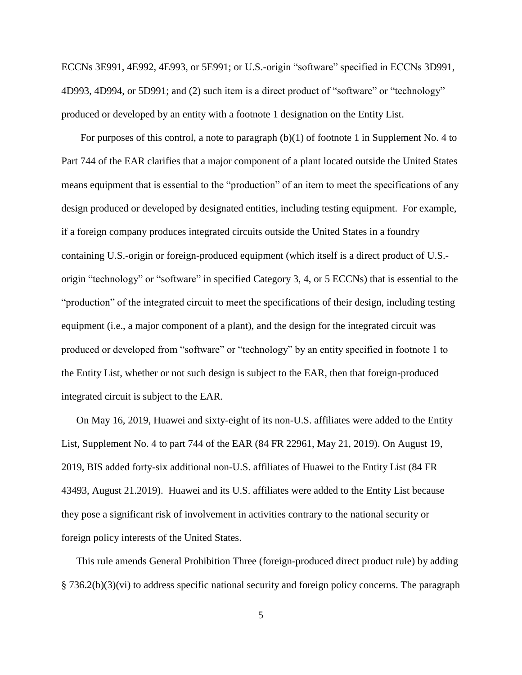ECCNs 3E991, 4E992, 4E993, or 5E991; or U.S.-origin "software" specified in ECCNs 3D991, 4D993, 4D994, or 5D991; and (2) such item is a direct product of "software" or "technology" produced or developed by an entity with a footnote 1 designation on the Entity List.

For purposes of this control, a note to paragraph  $(b)(1)$  of footnote 1 in Supplement No. 4 to Part 744 of the EAR clarifies that a major component of a plant located outside the United States means equipment that is essential to the "production" of an item to meet the specifications of any design produced or developed by designated entities, including testing equipment. For example, if a foreign company produces integrated circuits outside the United States in a foundry containing U.S.-origin or foreign-produced equipment (which itself is a direct product of U.S. origin "technology" or "software" in specified Category 3, 4, or 5 ECCNs) that is essential to the "production" of the integrated circuit to meet the specifications of their design, including testing equipment (i.e., a major component of a plant), and the design for the integrated circuit was produced or developed from "software" or "technology" by an entity specified in footnote 1 to the Entity List, whether or not such design is subject to the EAR, then that foreign-produced integrated circuit is subject to the EAR.

On May 16, 2019, Huawei and sixty-eight of its non-U.S. affiliates were added to the Entity List, Supplement No. 4 to part 744 of the EAR (84 FR 22961, May 21, 2019). On August 19, 2019, BIS added forty-six additional non-U.S. affiliates of Huawei to the Entity List (84 FR 43493, August 21.2019). Huawei and its U.S. affiliates were added to the Entity List because they pose a significant risk of involvement in activities contrary to the national security or foreign policy interests of the United States.

This rule amends General Prohibition Three (foreign-produced direct product rule) by adding § 736.2(b)(3)(vi) to address specific national security and foreign policy concerns. The paragraph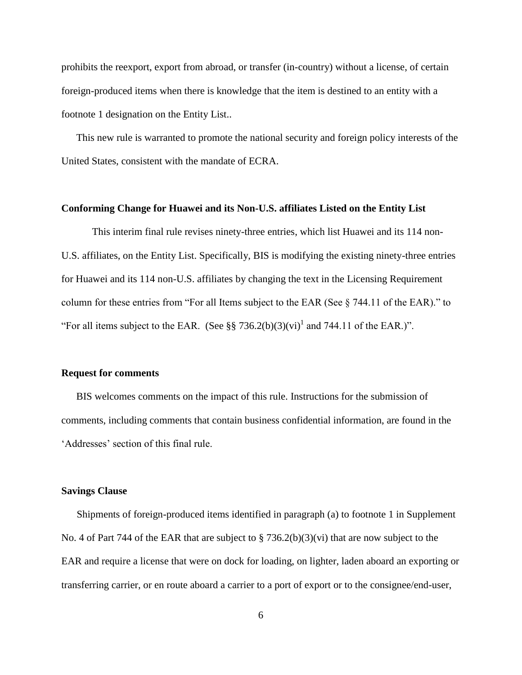prohibits the reexport, export from abroad, or transfer (in-country) without a license, of certain foreign-produced items when there is knowledge that the item is destined to an entity with a footnote 1 designation on the Entity List..

This new rule is warranted to promote the national security and foreign policy interests of the United States, consistent with the mandate of ECRA.

#### **Conforming Change for Huawei and its Non-U.S. affiliates Listed on the Entity List**

This interim final rule revises ninety-three entries, which list Huawei and its 114 non-U.S. affiliates, on the Entity List. Specifically, BIS is modifying the existing ninety-three entries for Huawei and its 114 non-U.S. affiliates by changing the text in the Licensing Requirement column for these entries from "For all Items subject to the EAR (See § 744.11 of the EAR)." to "For all items subject to the EAR. (See §§ 736.2(b)(3)(vi)<sup>1</sup> and 744.11 of the EAR.)".

#### **Request for comments**

BIS welcomes comments on the impact of this rule. Instructions for the submission of comments, including comments that contain business confidential information, are found in the 'Addresses' section of this final rule.

#### **Savings Clause**

Shipments of foreign-produced items identified in paragraph (a) to footnote 1 in Supplement No. 4 of Part 744 of the EAR that are subject to  $\S$  736.2(b)(3)(vi) that are now subject to the EAR and require a license that were on dock for loading, on lighter, laden aboard an exporting or transferring carrier, or en route aboard a carrier to a port of export or to the consignee/end-user,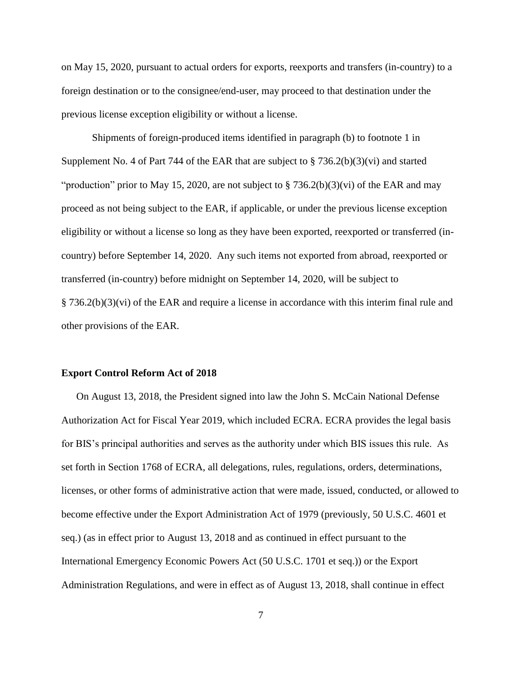on May 15, 2020, pursuant to actual orders for exports, reexports and transfers (in-country) to a foreign destination or to the consignee/end-user, may proceed to that destination under the previous license exception eligibility or without a license.

Shipments of foreign-produced items identified in paragraph (b) to footnote 1 in Supplement No. 4 of Part 744 of the EAR that are subject to  $\S$  736.2(b)(3)(vi) and started "production" prior to May 15, 2020, are not subject to  $\S 736.2(b)(3)(vi)$  of the EAR and may proceed as not being subject to the EAR, if applicable, or under the previous license exception eligibility or without a license so long as they have been exported, reexported or transferred (incountry) before September 14, 2020. Any such items not exported from abroad, reexported or transferred (in-country) before midnight on September 14, 2020, will be subject to § 736.2(b)(3)(vi) of the EAR and require a license in accordance with this interim final rule and other provisions of the EAR.

#### **Export Control Reform Act of 2018**

On August 13, 2018, the President signed into law the John S. McCain National Defense Authorization Act for Fiscal Year 2019, which included ECRA. ECRA provides the legal basis for BIS's principal authorities and serves as the authority under which BIS issues this rule. As set forth in Section 1768 of ECRA, all delegations, rules, regulations, orders, determinations, licenses, or other forms of administrative action that were made, issued, conducted, or allowed to become effective under the Export Administration Act of 1979 (previously, 50 U.S.C. 4601 et seq.) (as in effect prior to August 13, 2018 and as continued in effect pursuant to the International Emergency Economic Powers Act (50 U.S.C. 1701 et seq.)) or the Export Administration Regulations, and were in effect as of August 13, 2018, shall continue in effect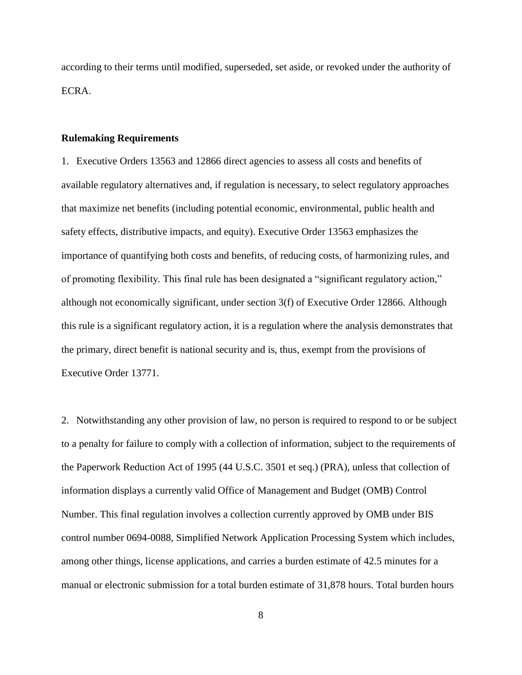according to their terms until modified, superseded, set aside, or revoked under the authority of ECRA.

#### **Rulemaking Requirements**

1. Executive Orders 13563 and 12866 direct agencies to assess all costs and benefits of available regulatory alternatives and, if regulation is necessary, to select regulatory approaches that maximize net benefits (including potential economic, environmental, public health and safety effects, distributive impacts, and equity). Executive Order 13563 emphasizes the importance of quantifying both costs and benefits, of reducing costs, of harmonizing rules, and of promoting flexibility. This final rule has been designated a "significant regulatory action," although not economically significant, under section 3(f) of Executive Order 12866. Although this rule is a significant regulatory action, it is a regulation where the analysis demonstrates that the primary, direct benefit is national security and is, thus, exempt from the provisions of Executive Order 13771.

2. Notwithstanding any other provision of law, no person is required to respond to or be subject to a penalty for failure to comply with a collection of information, subject to the requirements of the Paperwork Reduction Act of 1995 (44 U.S.C. 3501 et seq.) (PRA), unless that collection of information displays a currently valid Office of Management and Budget (OMB) Control Number. This final regulation involves a collection currently approved by OMB under BIS control number 0694-0088, Simplified Network Application Processing System which includes, among other things, license applications, and carries a burden estimate of 42.5 minutes for a manual or electronic submission for a total burden estimate of 31,878 hours. Total burden hours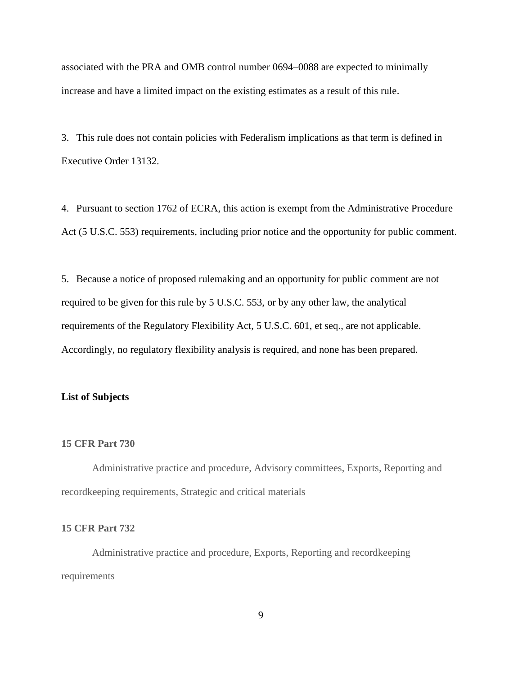associated with the PRA and OMB control number 0694–0088 are expected to minimally increase and have a limited impact on the existing estimates as a result of this rule.

3. This rule does not contain policies with Federalism implications as that term is defined in Executive Order 13132.

4. Pursuant to section 1762 of ECRA, this action is exempt from the Administrative Procedure Act (5 U.S.C. 553) requirements, including prior notice and the opportunity for public comment.

5. Because a notice of proposed rulemaking and an opportunity for public comment are not required to be given for this rule by 5 U.S.C. 553, or by any other law, the analytical requirements of the Regulatory Flexibility Act, 5 U.S.C. 601, et seq., are not applicable. Accordingly, no regulatory flexibility analysis is required, and none has been prepared.

#### **List of Subjects**

## **15 CFR Part 730**

Administrative practice and procedure, Advisory committees, Exports, Reporting and recordkeeping requirements, Strategic and critical materials

#### **15 CFR Part 732**

Administrative practice and procedure, Exports, Reporting and recordkeeping requirements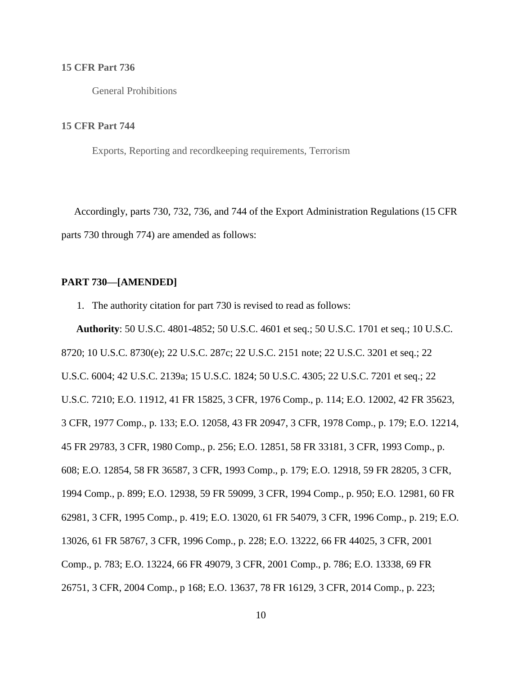#### **15 CFR Part 736**

General Prohibitions

#### **15 CFR Part 744**

Exports, Reporting and recordkeeping requirements, Terrorism

 Accordingly, parts 730, 732, 736, and 744 of the Export Administration Regulations (15 CFR parts 730 through 774) are amended as follows:

# **PART 730—[AMENDED]**

1. The authority citation for part 730 is revised to read as follows:

**Authority**: 50 U.S.C. 4801-4852; 50 U.S.C. 4601 et seq.; 50 U.S.C. 1701 et seq.; 10 U.S.C. 8720; 10 U.S.C. 8730(e); 22 U.S.C. 287c; 22 U.S.C. 2151 note; 22 U.S.C. 3201 et seq.; 22 U.S.C. 6004; 42 U.S.C. 2139a; 15 U.S.C. 1824; 50 U.S.C. 4305; 22 U.S.C. 7201 et seq.; 22 U.S.C. 7210; E.O. 11912, 41 FR 15825, 3 CFR, 1976 Comp., p. 114; E.O. 12002, 42 FR 35623, 3 CFR, 1977 Comp., p. 133; E.O. 12058, 43 FR 20947, 3 CFR, 1978 Comp., p. 179; E.O. 12214, 45 FR 29783, 3 CFR, 1980 Comp., p. 256; E.O. 12851, 58 FR 33181, 3 CFR, 1993 Comp., p. 608; E.O. 12854, 58 FR 36587, 3 CFR, 1993 Comp., p. 179; E.O. 12918, 59 FR 28205, 3 CFR, 1994 Comp., p. 899; E.O. 12938, 59 FR 59099, 3 CFR, 1994 Comp., p. 950; E.O. 12981, 60 FR 62981, 3 CFR, 1995 Comp., p. 419; E.O. 13020, 61 FR 54079, 3 CFR, 1996 Comp., p. 219; E.O. 13026, 61 FR 58767, 3 CFR, 1996 Comp., p. 228; E.O. 13222, 66 FR 44025, 3 CFR, 2001 Comp., p. 783; E.O. 13224, 66 FR 49079, 3 CFR, 2001 Comp., p. 786; E.O. 13338, 69 FR 26751, 3 CFR, 2004 Comp., p 168; E.O. 13637, 78 FR 16129, 3 CFR, 2014 Comp., p. 223;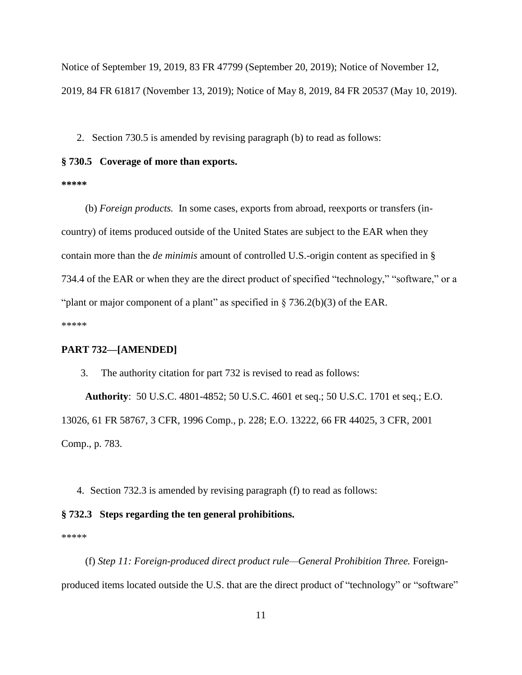Notice of September 19, 2019, 83 FR 47799 (September 20, 2019); Notice of November 12, 2019, 84 FR 61817 (November 13, 2019); Notice of May 8, 2019, 84 FR 20537 (May 10, 2019).

2. Section 730.5 is amended by revising paragraph (b) to read as follows:

# **§ 730.5 Coverage of more than exports.**

**\*\*\*\*\***

(b) *Foreign products.* In some cases, exports from abroad, reexports or transfers (incountry) of items produced outside of the United States are subject to the EAR when they contain more than the *de minimis* amount of controlled U.S.-origin content as specified in § 734.4 of the EAR or when they are the direct product of specified "technology," "software," or a "plant or major component of a plant" as specified in  $\S 736.2(b)(3)$  of the EAR. \*\*\*\*\*

## **PART 732—[AMENDED]**

3. The authority citation for part 732 is revised to read as follows:

**Authority**: 50 U.S.C. 4801-4852; 50 U.S.C. 4601 et seq.; 50 U.S.C. 1701 et seq.; E.O. 13026, 61 FR 58767, 3 CFR, 1996 Comp., p. 228; E.O. 13222, 66 FR 44025, 3 CFR, 2001 Comp., p. 783.

4. Section 732.3 is amended by revising paragraph (f) to read as follows:

#### **§ 732.3 Steps regarding the ten general prohibitions.**

\*\*\*\*\*

(f) *Step 11: Foreign-produced direct product rule—General Prohibition Three.* Foreignproduced items located outside the U.S. that are the direct product of "technology" or "software"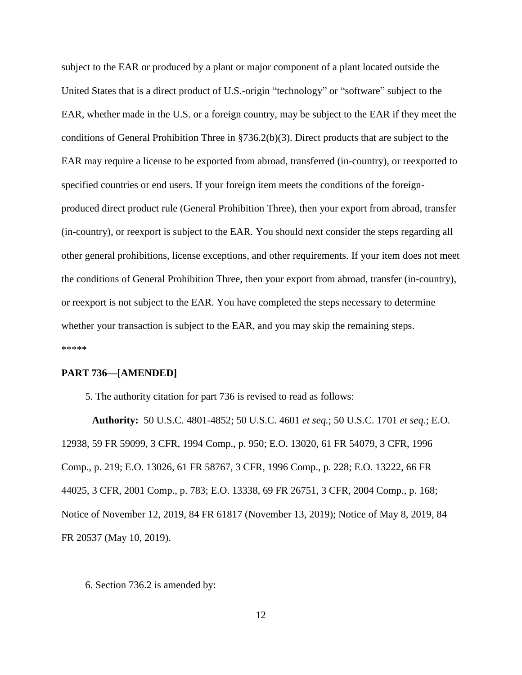subject to the EAR or produced by a plant or major component of a plant located outside the United States that is a direct product of U.S.-origin "technology" or "software" subject to the EAR, whether made in the U.S. or a foreign country, may be subject to the EAR if they meet the conditions of General Prohibition Three in §736.2(b)(3). Direct products that are subject to the EAR may require a license to be exported from abroad, transferred (in-country), or reexported to specified countries or end users. If your foreign item meets the conditions of the foreignproduced direct product rule (General Prohibition Three), then your export from abroad, transfer (in-country), or reexport is subject to the EAR. You should next consider the steps regarding all other general prohibitions, license exceptions, and other requirements. If your item does not meet the conditions of General Prohibition Three, then your export from abroad, transfer (in-country), or reexport is not subject to the EAR. You have completed the steps necessary to determine whether your transaction is subject to the EAR, and you may skip the remaining steps. \*\*\*\*\*

## **PART 736—[AMENDED]**

5. The authority citation for part 736 is revised to read as follows:

**Authority:** 50 U.S.C. 4801-4852; 50 U.S.C. 4601 *et seq.*; 50 U.S.C. 1701 *et seq.*; E.O. 12938, 59 FR 59099, 3 CFR, 1994 Comp., p. 950; E.O. 13020, 61 FR 54079, 3 CFR, 1996 Comp., p. 219; E.O. 13026, 61 FR 58767, 3 CFR, 1996 Comp., p. 228; E.O. 13222, 66 FR 44025, 3 CFR, 2001 Comp., p. 783; E.O. 13338, 69 FR 26751, 3 CFR, 2004 Comp., p. 168; Notice of November 12, 2019, 84 FR 61817 (November 13, 2019); Notice of May 8, 2019, 84 FR 20537 (May 10, 2019).

#### 6. Section 736.2 is amended by: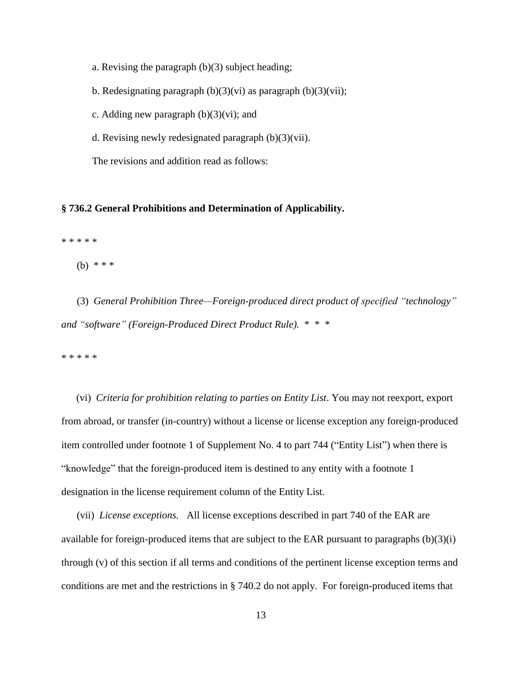a. Revising the paragraph (b)(3) subject heading;

b. Redesignating paragraph  $(b)(3)(vi)$  as paragraph  $(b)(3)(vii)$ ;

c. Adding new paragraph  $(b)(3)(vi)$ ; and

d. Revising newly redesignated paragraph (b)(3)(vii).

The revisions and addition read as follows:

### **§ 736.2 General Prohibitions and Determination of Applicability.**

\* \* \* \* \*

(b) \* \* \*

(3) *General Prohibition Three—Foreign-produced direct product of specified "technology" and "software" (Foreign-Produced Direct Product Rule).* \* \* \*

\* \* \* \* \*

(vi) *Criteria for prohibition relating to parties on Entity List*. You may not reexport, export from abroad, or transfer (in-country) without a license or license exception any foreign-produced item controlled under footnote 1 of Supplement No. 4 to part 744 ("Entity List") when there is "knowledge" that the foreign-produced item is destined to any entity with a footnote 1 designation in the license requirement column of the Entity List.

(vii) *License exceptions.* All license exceptions described in part 740 of the EAR are available for foreign-produced items that are subject to the EAR pursuant to paragraphs (b)(3)(i) through (v) of this section if all terms and conditions of the pertinent license exception terms and conditions are met and the restrictions in § 740.2 do not apply. For foreign-produced items that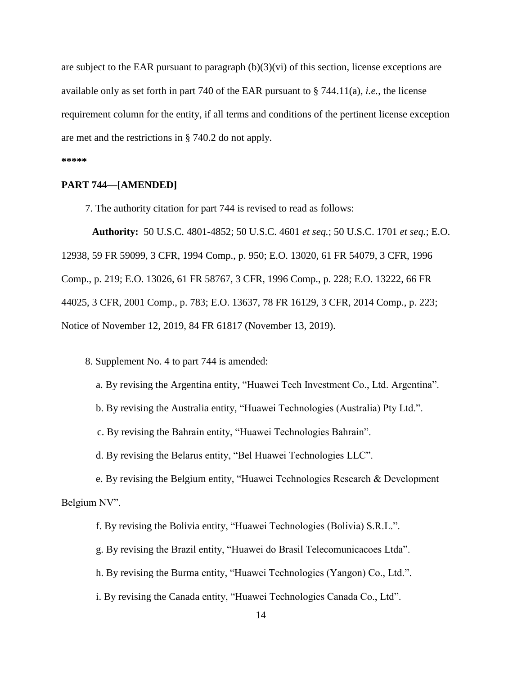are subject to the EAR pursuant to paragraph  $(b)(3)(vi)$  of this section, license exceptions are available only as set forth in part 740 of the EAR pursuant to § 744.11(a), *i.e.*, the license requirement column for the entity, if all terms and conditions of the pertinent license exception are met and the restrictions in § 740.2 do not apply.

#### **\*\*\*\*\***

#### **PART 744—[AMENDED]**

7. The authority citation for part 744 is revised to read as follows:

**Authority:** 50 U.S.C. 4801-4852; 50 U.S.C. 4601 *et seq.*; 50 U.S.C. 1701 *et seq.*; E.O. 12938, 59 FR 59099, 3 CFR, 1994 Comp., p. 950; E.O. 13020, 61 FR 54079, 3 CFR, 1996 Comp., p. 219; E.O. 13026, 61 FR 58767, 3 CFR, 1996 Comp., p. 228; E.O. 13222, 66 FR 44025, 3 CFR, 2001 Comp., p. 783; E.O. 13637, 78 FR 16129, 3 CFR, 2014 Comp., p. 223; Notice of November 12, 2019, 84 FR 61817 (November 13, 2019).

8. Supplement No. 4 to part 744 is amended:

a. By revising the Argentina entity, "Huawei Tech Investment Co., Ltd. Argentina".

b. By revising the Australia entity, "Huawei Technologies (Australia) Pty Ltd.".

c. By revising the Bahrain entity, "Huawei Technologies Bahrain".

d. By revising the Belarus entity, "Bel Huawei Technologies LLC".

e. By revising the Belgium entity, "Huawei Technologies Research & Development Belgium NV".

f. By revising the Bolivia entity, "Huawei Technologies (Bolivia) S.R.L.".

g. By revising the Brazil entity, "Huawei do Brasil Telecomunicacoes Ltda".

h. By revising the Burma entity, "Huawei Technologies (Yangon) Co., Ltd.".

i. By revising the Canada entity, "Huawei Technologies Canada Co., Ltd".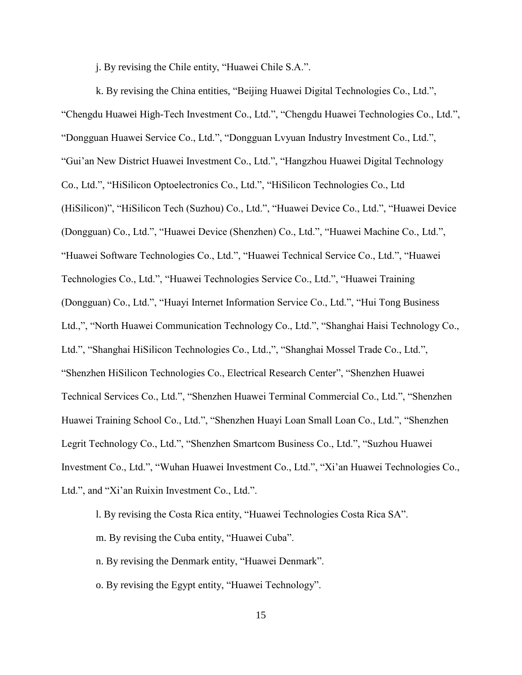j. By revising the Chile entity, "Huawei Chile S.A.".

k. By revising the China entities, "Beijing Huawei Digital Technologies Co., Ltd.", "Chengdu Huawei High-Tech Investment Co., Ltd.", "Chengdu Huawei Technologies Co., Ltd.", "Dongguan Huawei Service Co., Ltd.", "Dongguan Lvyuan Industry Investment Co., Ltd.", "Gui'an New District Huawei Investment Co., Ltd.", "Hangzhou Huawei Digital Technology Co., Ltd.", "HiSilicon Optoelectronics Co., Ltd.", "HiSilicon Technologies Co., Ltd (HiSilicon)", "HiSilicon Tech (Suzhou) Co., Ltd.", "Huawei Device Co., Ltd.", "Huawei Device (Dongguan) Co., Ltd.", "Huawei Device (Shenzhen) Co., Ltd.", "Huawei Machine Co., Ltd.", "Huawei Software Technologies Co., Ltd.", "Huawei Technical Service Co., Ltd.", "Huawei Technologies Co., Ltd.", "Huawei Technologies Service Co., Ltd.", "Huawei Training (Dongguan) Co., Ltd.", "Huayi Internet Information Service Co., Ltd.", "Hui Tong Business Ltd.,", "North Huawei Communication Technology Co., Ltd.", "Shanghai Haisi Technology Co., Ltd.", "Shanghai HiSilicon Technologies Co., Ltd.,", "Shanghai Mossel Trade Co., Ltd.", "Shenzhen HiSilicon Technologies Co., Electrical Research Center", "Shenzhen Huawei Technical Services Co., Ltd.", "Shenzhen Huawei Terminal Commercial Co., Ltd.", "Shenzhen Huawei Training School Co., Ltd.", "Shenzhen Huayi Loan Small Loan Co., Ltd.", "Shenzhen Legrit Technology Co., Ltd.", "Shenzhen Smartcom Business Co., Ltd.", "Suzhou Huawei Investment Co., Ltd.", "Wuhan Huawei Investment Co., Ltd.", "Xi'an Huawei Technologies Co., Ltd.", and "Xi'an Ruixin Investment Co., Ltd.".

l. By revising the Costa Rica entity, "Huawei Technologies Costa Rica SA".

m. By revising the Cuba entity, "Huawei Cuba".

n. By revising the Denmark entity, "Huawei Denmark".

o. By revising the Egypt entity, "Huawei Technology".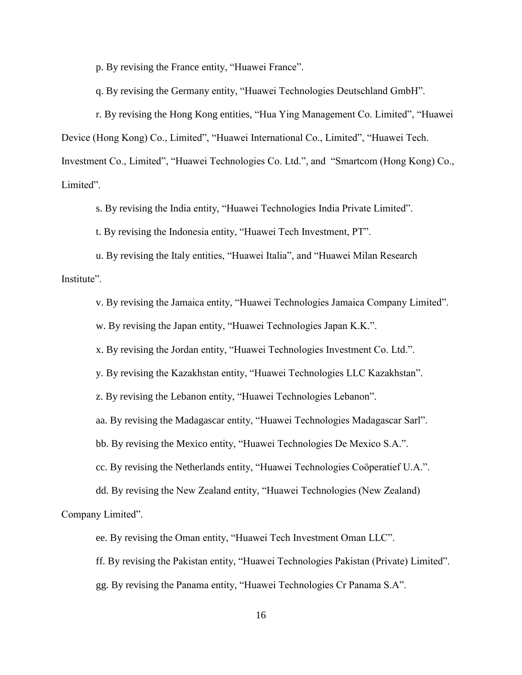p. By revising the France entity, "Huawei France".

q. By revising the Germany entity, "Huawei Technologies Deutschland GmbH".

r. By revising the Hong Kong entities, "Hua Ying Management Co. Limited", "Huawei Device (Hong Kong) Co., Limited", "Huawei International Co., Limited", "Huawei Tech. Investment Co., Limited", "Huawei Technologies Co. Ltd.", and "Smartcom (Hong Kong) Co., Limited".

s. By revising the India entity, "Huawei Technologies India Private Limited".

t. By revising the Indonesia entity, "Huawei Tech Investment, PT".

u. By revising the Italy entities, "Huawei Italia", and "Huawei Milan Research Institute".

v. By revising the Jamaica entity, "Huawei Technologies Jamaica Company Limited".

w. By revising the Japan entity, "Huawei Technologies Japan K.K.".

x. By revising the Jordan entity, "Huawei Technologies Investment Co. Ltd.".

y. By revising the Kazakhstan entity, "Huawei Technologies LLC Kazakhstan".

z. By revising the Lebanon entity, "Huawei Technologies Lebanon".

aa. By revising the Madagascar entity, "Huawei Technologies Madagascar Sarl".

bb. By revising the Mexico entity, "Huawei Technologies De Mexico S.A.".

cc. By revising the Netherlands entity, "Huawei Technologies Coöperatief U.A.".

dd. By revising the New Zealand entity, "Huawei Technologies (New Zealand) Company Limited".

ee. By revising the Oman entity, "Huawei Tech Investment Oman LLC".

ff. By revising the Pakistan entity, "Huawei Technologies Pakistan (Private) Limited".

gg. By revising the Panama entity, "Huawei Technologies Cr Panama S.A".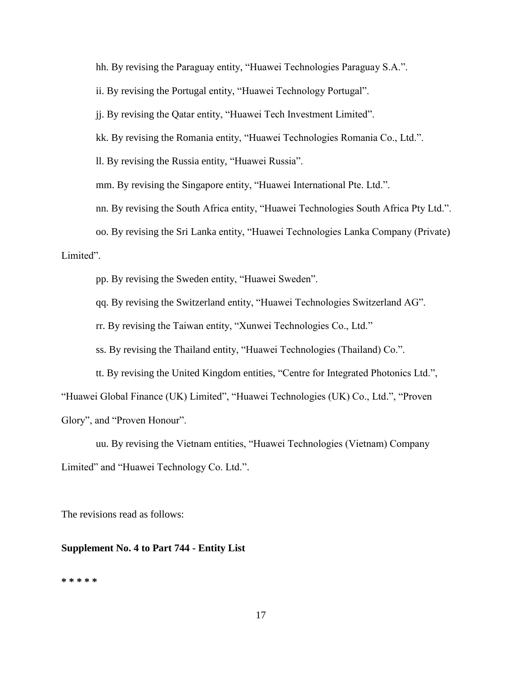hh. By revising the Paraguay entity, "Huawei Technologies Paraguay S.A.".

ii. By revising the Portugal entity, "Huawei Technology Portugal".

jj. By revising the Qatar entity, "Huawei Tech Investment Limited".

kk. By revising the Romania entity, "Huawei Technologies Romania Co., Ltd.".

ll. By revising the Russia entity, "Huawei Russia".

mm. By revising the Singapore entity, "Huawei International Pte. Ltd.".

nn. By revising the South Africa entity, "Huawei Technologies South Africa Pty Ltd.".

oo. By revising the Sri Lanka entity, "Huawei Technologies Lanka Company (Private) Limited".

pp. By revising the Sweden entity, "Huawei Sweden".

qq. By revising the Switzerland entity, "Huawei Technologies Switzerland AG".

rr. By revising the Taiwan entity, "Xunwei Technologies Co., Ltd."

ss. By revising the Thailand entity, "Huawei Technologies (Thailand) Co.".

tt. By revising the United Kingdom entities, "Centre for Integrated Photonics Ltd.", "Huawei Global Finance (UK) Limited", "Huawei Technologies (UK) Co., Ltd.", "Proven Glory", and "Proven Honour".

uu. By revising the Vietnam entities, "Huawei Technologies (Vietnam) Company Limited" and "Huawei Technology Co. Ltd.".

The revisions read as follows:

### **Supplement No. 4 to Part 744 - Entity List**

#### **\* \* \* \* \***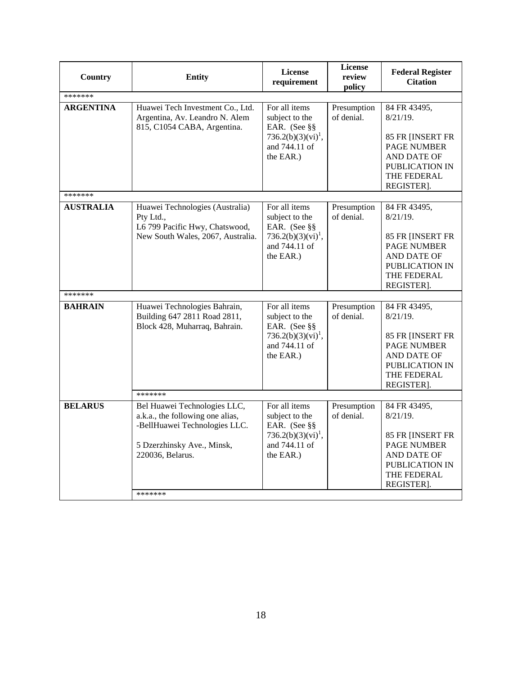| Country          | <b>Entity</b>                                                                                                       | <b>License</b><br>requirement                                                                                   | License<br>review<br>policy | <b>Federal Register</b><br><b>Citation</b>                                                                                   |
|------------------|---------------------------------------------------------------------------------------------------------------------|-----------------------------------------------------------------------------------------------------------------|-----------------------------|------------------------------------------------------------------------------------------------------------------------------|
| *******          |                                                                                                                     |                                                                                                                 |                             |                                                                                                                              |
| <b>ARGENTINA</b> | Huawei Tech Investment Co., Ltd.<br>Argentina, Av. Leandro N. Alem<br>815, C1054 CABA, Argentina.                   | For all items<br>subject to the<br>EAR. (See §§<br>$736.2(b)(3)(vi)^1$ ,<br>and 744.11 of<br>the EAR.)          | Presumption<br>of denial.   | 84 FR 43495,<br>$8/21/19$ .<br>85 FR [INSERT FR<br>PAGE NUMBER<br>AND DATE OF<br>PUBLICATION IN<br>THE FEDERAL<br>REGISTER]. |
| *******          |                                                                                                                     |                                                                                                                 |                             |                                                                                                                              |
| <b>AUSTRALIA</b> | Huawei Technologies (Australia)<br>Pty Ltd.,<br>L6 799 Pacific Hwy, Chatswood,<br>New South Wales, 2067, Australia. | For all items<br>subject to the<br>EAR. (See §§<br>736.2(b)(3)(vi) <sup>1</sup> ,<br>and 744.11 of<br>the EAR.) | Presumption<br>of denial.   | 84 FR 43495,<br>$8/21/19$ .<br>85 FR [INSERT FR<br>PAGE NUMBER<br>AND DATE OF<br>PUBLICATION IN<br>THE FEDERAL<br>REGISTER]. |
| *******          |                                                                                                                     |                                                                                                                 |                             |                                                                                                                              |
| <b>BAHRAIN</b>   | Huawei Technologies Bahrain,<br>Building 647 2811 Road 2811,<br>Block 428, Muharraq, Bahrain.<br>*******            | For all items<br>subject to the<br>EAR. (See §§<br>736.2(b)(3)(vi) <sup>1</sup> ,<br>and 744.11 of<br>the EAR.) | Presumption<br>of denial.   | 84 FR 43495,<br>$8/21/19$ .<br>85 FR [INSERT FR<br>PAGE NUMBER<br>AND DATE OF<br>PUBLICATION IN<br>THE FEDERAL<br>REGISTER]. |
| <b>BELARUS</b>   | Bel Huawei Technologies LLC,                                                                                        | For all items                                                                                                   | Presumption                 | 84 FR 43495,                                                                                                                 |
|                  | a.k.a., the following one alias,<br>-BellHuawei Technologies LLC.<br>5 Dzerzhinsky Ave., Minsk,<br>220036, Belarus. | subject to the<br>EAR. (See §§<br>736.2(b)(3)(vi) <sup>1</sup> ,<br>and 744.11 of<br>the EAR.)                  | of denial.                  | $8/21/19$ .<br>85 FR [INSERT FR<br><b>PAGE NUMBER</b><br>AND DATE OF<br>PUBLICATION IN<br>THE FEDERAL<br>REGISTER].          |
|                  | *******                                                                                                             |                                                                                                                 |                             |                                                                                                                              |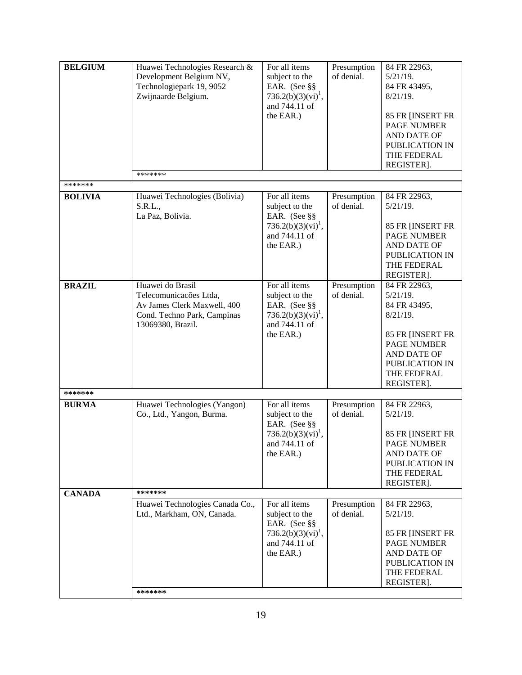| <b>BELGIUM</b> | Huawei Technologies Research &<br>Development Belgium NV,<br>Technologiepark 19, 9052<br>Zwijnaarde Belgium.                  | For all items<br>subject to the<br>EAR. (See §§<br>736.2(b)(3)(vi) <sup>1</sup> ,<br>and 744.11 of<br>the EAR.) | Presumption<br>of denial. | 84 FR 22963,<br>$5/21/19$ .<br>84 FR 43495,<br>$8/21/19$ .<br>85 FR [INSERT FR<br><b>PAGE NUMBER</b><br>AND DATE OF                                                |
|----------------|-------------------------------------------------------------------------------------------------------------------------------|-----------------------------------------------------------------------------------------------------------------|---------------------------|--------------------------------------------------------------------------------------------------------------------------------------------------------------------|
|                | *******                                                                                                                       |                                                                                                                 |                           | PUBLICATION IN<br>THE FEDERAL<br>REGISTER].                                                                                                                        |
| *******        |                                                                                                                               |                                                                                                                 |                           |                                                                                                                                                                    |
| <b>BOLIVIA</b> | Huawei Technologies (Bolivia)<br>S.R.L.,<br>La Paz, Bolivia.                                                                  | For all items<br>subject to the<br>EAR. (See §§<br>736.2(b)(3)(vi) <sup>1</sup> ,<br>and 744.11 of<br>the EAR.) | Presumption<br>of denial. | 84 FR 22963,<br>$5/21/19$ .<br>85 FR [INSERT FR<br><b>PAGE NUMBER</b><br>AND DATE OF<br>PUBLICATION IN<br>THE FEDERAL<br>REGISTER].                                |
| <b>BRAZIL</b>  | Huawei do Brasil<br>Telecomunicações Ltda,<br>Av James Clerk Maxwell, 400<br>Cond. Techno Park, Campinas<br>13069380, Brazil. | For all items<br>subject to the<br>EAR. (See §§<br>$736.2(b)(3)(vi)^{1}$ ,<br>and 744.11 of<br>the EAR.)        | Presumption<br>of denial. | 84 FR 22963,<br>$5/21/19$ .<br>84 FR 43495,<br>$8/21/19$ .<br>85 FR [INSERT FR<br><b>PAGE NUMBER</b><br>AND DATE OF<br>PUBLICATION IN<br>THE FEDERAL<br>REGISTER]. |
| *******        |                                                                                                                               |                                                                                                                 |                           |                                                                                                                                                                    |
| <b>BURMA</b>   | Huawei Technologies (Yangon)<br>Co., Ltd., Yangon, Burma.                                                                     | For all items<br>subject to the<br>EAR. (See §§<br>736.2(b)(3)(vi) <sup>1</sup> ,<br>and 744.11 of<br>the EAR.) | Presumption<br>of denial. | 84 FR 22963,<br>$5/21/19$ .<br>85 FR [INSERT FR<br><b>PAGE NUMBER</b><br>AND DATE OF<br>PUBLICATION IN<br>THE FEDERAL<br>REGISTER].                                |
| <b>CANADA</b>  | *******                                                                                                                       |                                                                                                                 |                           |                                                                                                                                                                    |
|                | Huawei Technologies Canada Co.,<br>Ltd., Markham, ON, Canada.<br>*******                                                      | For all items<br>subject to the<br>EAR. (See §§<br>736.2(b)(3)(vi) <sup>1</sup> ,<br>and 744.11 of<br>the EAR.) | Presumption<br>of denial. | 84 FR 22963,<br>$5/21/19$ .<br>85 FR [INSERT FR<br><b>PAGE NUMBER</b><br>AND DATE OF<br>PUBLICATION IN<br>THE FEDERAL<br>REGISTER].                                |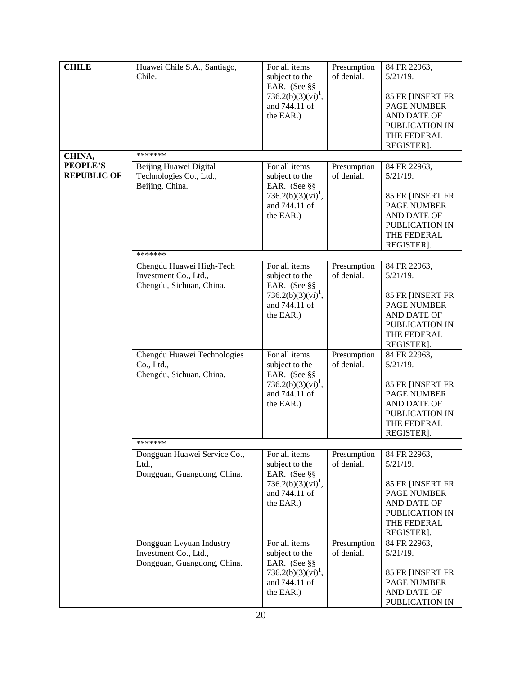| <b>CHILE</b>       | Huawei Chile S.A., Santiago, | For all items                  | Presumption | 84 FR 22963,                    |
|--------------------|------------------------------|--------------------------------|-------------|---------------------------------|
|                    | Chile.                       | subject to the                 | of denial.  | $5/21/19$ .                     |
|                    |                              | EAR. (See §§                   |             |                                 |
|                    |                              | 736.2(b)(3)(vi) <sup>1</sup> , |             | 85 FR [INSERT FR                |
|                    |                              | and 744.11 of                  |             | <b>PAGE NUMBER</b>              |
|                    |                              |                                |             |                                 |
|                    |                              | the EAR.)                      |             | AND DATE OF                     |
|                    |                              |                                |             | PUBLICATION IN                  |
|                    |                              |                                |             | THE FEDERAL                     |
|                    |                              |                                |             | REGISTER].                      |
| CHINA,             | *******                      |                                |             |                                 |
| <b>PEOPLE'S</b>    | Beijing Huawei Digital       | For all items                  | Presumption | 84 FR 22963,                    |
| <b>REPUBLIC OF</b> | Technologies Co., Ltd.,      | subject to the                 | of denial.  | $5/21/19$ .                     |
|                    | Beijing, China.              | EAR. (See §§                   |             |                                 |
|                    |                              | 736.2(b)(3)(vi) <sup>1</sup> , |             | 85 FR [INSERT FR                |
|                    |                              | and 744.11 of                  |             | PAGE NUMBER                     |
|                    |                              | the EAR.)                      |             | AND DATE OF                     |
|                    |                              |                                |             | PUBLICATION IN                  |
|                    |                              |                                |             | THE FEDERAL                     |
|                    |                              |                                |             | REGISTER].                      |
|                    | *******                      |                                |             |                                 |
|                    | Chengdu Huawei High-Tech     | For all items                  | Presumption | 84 FR 22963,                    |
|                    | Investment Co., Ltd.,        | subject to the                 | of denial.  | $5/21/19$ .                     |
|                    | Chengdu, Sichuan, China.     | EAR. (See §§                   |             |                                 |
|                    |                              | 736.2(b)(3)(vi) <sup>1</sup> , |             | 85 FR [INSERT FR                |
|                    |                              | and 744.11 of                  |             | <b>PAGE NUMBER</b>              |
|                    |                              | the EAR.)                      |             | AND DATE OF                     |
|                    |                              |                                |             | PUBLICATION IN                  |
|                    |                              |                                |             | THE FEDERAL                     |
|                    |                              |                                |             | REGISTER].                      |
|                    | Chengdu Huawei Technologies  | For all items                  | Presumption | 84 FR 22963,                    |
|                    | Co., Ltd.,                   | subject to the                 | of denial.  | $5/21/19$ .                     |
|                    | Chengdu, Sichuan, China.     | EAR. (See §§                   |             |                                 |
|                    |                              | 736.2(b)(3)(vi) <sup>1</sup> , |             | 85 FR [INSERT FR                |
|                    |                              | and 744.11 of                  |             | <b>PAGE NUMBER</b>              |
|                    |                              | the EAR.)                      |             | AND DATE OF                     |
|                    |                              |                                |             | PUBLICATION IN                  |
|                    |                              |                                |             | THE FEDERAL                     |
|                    |                              |                                |             | REGISTER].                      |
|                    |                              |                                |             |                                 |
|                    | Dongguan Huawei Service Co., | For all items                  | Presumption | 84 FR 22963,                    |
|                    | Ltd.,                        | subject to the                 | of denial.  | $5/21/19$ .                     |
|                    | Dongguan, Guangdong, China.  | EAR. (See §§                   |             |                                 |
|                    |                              | $736.2(b)(3)(vi)^1$ ,          |             | 85 FR [INSERT FR                |
|                    |                              | and 744.11 of                  |             | <b>PAGE NUMBER</b>              |
|                    |                              | the EAR.)                      |             | AND DATE OF                     |
|                    |                              |                                |             | PUBLICATION IN                  |
|                    |                              |                                |             | THE FEDERAL                     |
|                    |                              |                                |             | REGISTER].                      |
|                    | Dongguan Lvyuan Industry     | For all items                  | Presumption | 84 FR 22963,                    |
|                    | Investment Co., Ltd.,        | subject to the                 | of denial.  | $5/21/19$ .                     |
|                    | Dongguan, Guangdong, China.  | EAR. (See §§                   |             |                                 |
|                    |                              | 736.2(b)(3)(vi) <sup>1</sup> , |             |                                 |
|                    |                              | and 744.11 of                  |             | 85 FR [INSERT FR<br>PAGE NUMBER |
|                    |                              |                                |             |                                 |
|                    |                              | the EAR.)                      |             | AND DATE OF                     |
|                    |                              |                                |             | PUBLICATION IN                  |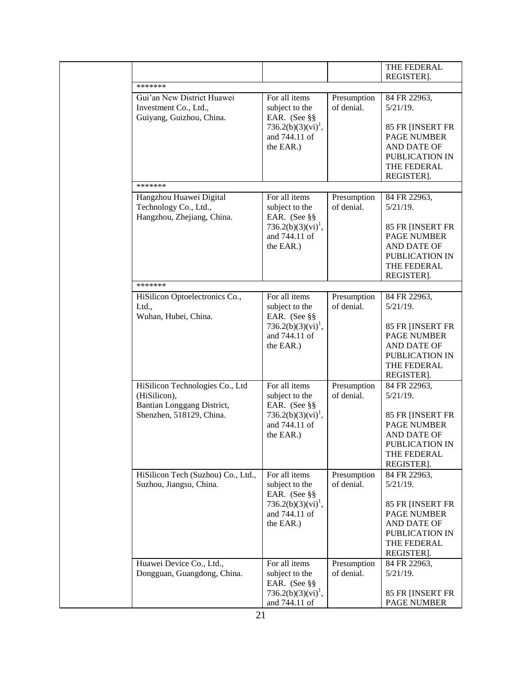|  |                                                                                 |                                                                                                    |                           | THE FEDERAL<br>REGISTER].                                                                            |
|--|---------------------------------------------------------------------------------|----------------------------------------------------------------------------------------------------|---------------------------|------------------------------------------------------------------------------------------------------|
|  | *******                                                                         |                                                                                                    |                           |                                                                                                      |
|  | Gui'an New District Huawei<br>Investment Co., Ltd.,<br>Guiyang, Guizhou, China. | For all items<br>subject to the<br>EAR. (See §§                                                    | Presumption<br>of denial. | 84 FR 22963,<br>$5/21/19$ .                                                                          |
|  |                                                                                 | 736.2(b)(3)(vi) <sup>1</sup> ,<br>and 744.11 of<br>the EAR.)                                       |                           | 85 FR [INSERT FR<br><b>PAGE NUMBER</b><br>AND DATE OF<br>PUBLICATION IN<br>THE FEDERAL<br>REGISTER]. |
|  | *******                                                                         |                                                                                                    |                           |                                                                                                      |
|  | Hangzhou Huawei Digital<br>Technology Co., Ltd.,<br>Hangzhou, Zhejiang, China.  | For all items<br>subject to the<br>EAR. (See §§                                                    | Presumption<br>of denial. | 84 FR 22963,<br>$5/21/19$ .                                                                          |
|  |                                                                                 | 736.2(b)(3)(vi) <sup>1</sup> ,<br>and 744.11 of<br>the EAR.)                                       |                           | 85 FR [INSERT FR<br><b>PAGE NUMBER</b><br>AND DATE OF<br>PUBLICATION IN<br>THE FEDERAL<br>REGISTER]. |
|  | *******                                                                         |                                                                                                    |                           |                                                                                                      |
|  | HiSilicon Optoelectronics Co.,<br>Ltd.,<br>Wuhan, Hubei, China.                 | For all items<br>subject to the<br>EAR. (See §§                                                    | Presumption<br>of denial. | 84 FR 22963,<br>$5/21/19$ .                                                                          |
|  |                                                                                 | 736.2(b)(3)(vi) <sup>1</sup> ,<br>and 744.11 of<br>the EAR.)                                       |                           | 85 FR [INSERT FR<br><b>PAGE NUMBER</b><br>AND DATE OF<br>PUBLICATION IN<br>THE FEDERAL<br>REGISTER]. |
|  | HiSilicon Technologies Co., Ltd<br>(HiSilicon),<br>Bantian Longgang District,   | For all items<br>subject to the<br>EAR. (See §§                                                    | Presumption<br>of denial. | 84 FR 22963,<br>$5/21/19$ .                                                                          |
|  | Shenzhen, 518129, China.                                                        | $736.2(b)(3)(vi)^{1}$ ,<br>and 744.11 of<br>the EAR.)                                              |                           | 85 FR [INSERT FR<br>PAGE NUMBER<br>AND DATE OF<br>PUBLICATION IN<br>THE FEDERAL<br>REGISTER].        |
|  | HiSilicon Tech (Suzhou) Co., Ltd.,<br>Suzhou, Jiangsu, China.                   | For all items<br>subject to the<br>EAR. (See §§                                                    | Presumption<br>of denial. | 84 FR 22963,<br>$5/21/19$ .                                                                          |
|  |                                                                                 | 736.2(b)(3)(vi) <sup>1</sup> ,<br>and 744.11 of<br>the EAR.)                                       |                           | 85 FR [INSERT FR<br><b>PAGE NUMBER</b><br>AND DATE OF<br>PUBLICATION IN<br>THE FEDERAL<br>REGISTER]. |
|  | Huawei Device Co., Ltd.,<br>Dongguan, Guangdong, China.                         | For all items<br>subject to the<br>EAR. (See §§<br>736.2(b)(3)(vi) <sup>1</sup> ,<br>and 744.11 of | Presumption<br>of denial. | 84 FR 22963,<br>$5/21/19$ .<br>85 FR [INSERT FR<br><b>PAGE NUMBER</b>                                |
|  |                                                                                 |                                                                                                    |                           |                                                                                                      |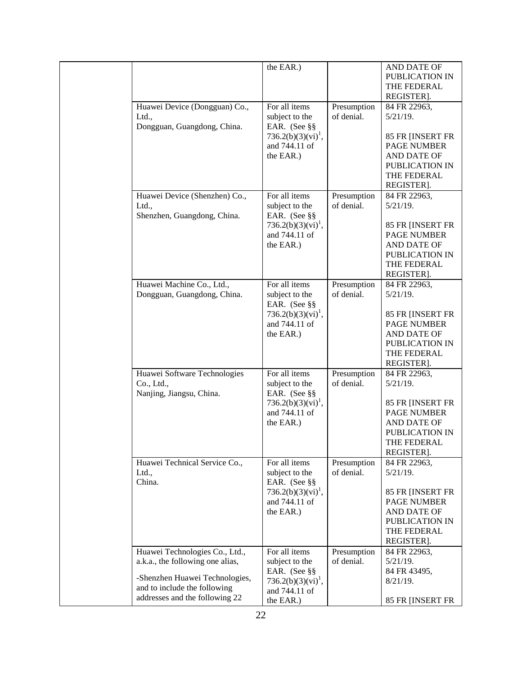|                                                                       | the EAR.)                                                                    |                           | AND DATE OF<br>PUBLICATION IN<br>THE FEDERAL<br>REGISTER].                                           |
|-----------------------------------------------------------------------|------------------------------------------------------------------------------|---------------------------|------------------------------------------------------------------------------------------------------|
| Huawei Device (Dongguan) Co.,<br>Ltd.,<br>Dongguan, Guangdong, China. | For all items<br>subject to the<br>EAR. (See §§                              | Presumption<br>of denial. | 84 FR 22963,<br>$5/21/19$ .                                                                          |
|                                                                       | 736.2(b)(3)(vi) <sup>1</sup> ,<br>and 744.11 of<br>the EAR.)                 |                           | 85 FR [INSERT FR<br>PAGE NUMBER<br>AND DATE OF<br>PUBLICATION IN<br>THE FEDERAL<br>REGISTER].        |
| Huawei Device (Shenzhen) Co.,<br>Ltd.,                                | For all items<br>subject to the                                              | Presumption<br>of denial. | 84 FR 22963,<br>$5/21/19$ .                                                                          |
| Shenzhen, Guangdong, China.                                           | EAR. (See §§<br>736.2(b)(3)(vi) <sup>1</sup> ,<br>and 744.11 of<br>the EAR.) |                           | 85 FR [INSERT FR<br><b>PAGE NUMBER</b><br>AND DATE OF<br>PUBLICATION IN<br>THE FEDERAL<br>REGISTER]. |
| Huawei Machine Co., Ltd.,<br>Dongguan, Guangdong, China.              | For all items<br>subject to the                                              | Presumption<br>of denial. | 84 FR 22963,<br>$5/21/19$ .                                                                          |
|                                                                       | EAR. (See §§<br>736.2(b)(3)(vi) <sup>1</sup> ,<br>and 744.11 of<br>the EAR.) |                           | 85 FR [INSERT FR<br><b>PAGE NUMBER</b><br>AND DATE OF<br>PUBLICATION IN<br>THE FEDERAL<br>REGISTER]. |
| Huawei Software Technologies<br>Co., Ltd.,                            | For all items<br>subject to the                                              | Presumption<br>of denial. | 84 FR 22963,<br>$5/21/19$ .                                                                          |
| Nanjing, Jiangsu, China.                                              | EAR. (See §§<br>$736.2(b)(3)(vi)^{1}$ ,<br>and 744.11 of<br>the EAR.)        |                           | 85 FR [INSERT FR<br>PAGE NUMBER<br>AND DATE OF<br>PUBLICATION IN<br>THE FEDERAL<br>REGISTER].        |
| Huawei Technical Service Co.,<br>Ltd.,                                | For all items<br>subject to the                                              | Presumption<br>of denial. | 84 FR 22963,<br>$5/21/19$ .                                                                          |
| China.                                                                | EAR. (See §§<br>736.2(b)(3)(vi) <sup>1</sup> ,<br>and 744.11 of<br>the EAR.) |                           | 85 FR [INSERT FR<br><b>PAGE NUMBER</b><br>AND DATE OF<br>PUBLICATION IN<br>THE FEDERAL<br>REGISTER]. |
| Huawei Technologies Co., Ltd.,<br>a.k.a., the following one alias,    | For all items<br>subject to the                                              | Presumption<br>of denial. | 84 FR 22963,<br>$5/21/19$ .                                                                          |
| -Shenzhen Huawei Technologies,<br>and to include the following        | EAR. (See §§<br>$736.2(b)(3)(vi)^1$ ,<br>and 744.11 of                       |                           | 84 FR 43495,<br>$8/21/19$ .                                                                          |
| addresses and the following 22                                        | the EAR.)                                                                    |                           | 85 FR [INSERT FR                                                                                     |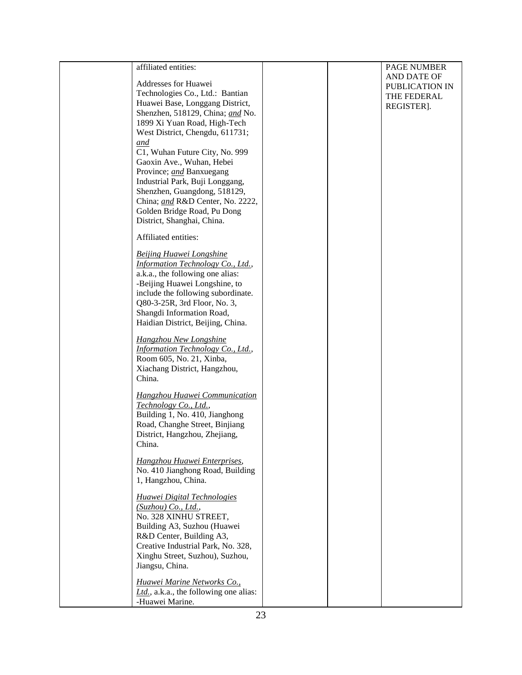| affiliated entities:                   |  | PAGE NUMBER    |
|----------------------------------------|--|----------------|
|                                        |  | AND DATE OF    |
| Addresses for Huawei                   |  | PUBLICATION IN |
| Technologies Co., Ltd.: Bantian        |  | THE FEDERAL    |
| Huawei Base, Longgang District,        |  | REGISTER].     |
| Shenzhen, 518129, China; and No.       |  |                |
| 1899 Xi Yuan Road, High-Tech           |  |                |
| West District, Chengdu, 611731;        |  |                |
| and                                    |  |                |
| C1, Wuhan Future City, No. 999         |  |                |
| Gaoxin Ave., Wuhan, Hebei              |  |                |
| Province; and Banxuegang               |  |                |
| Industrial Park, Buji Longgang,        |  |                |
|                                        |  |                |
| Shenzhen, Guangdong, 518129,           |  |                |
| China; and R&D Center, No. 2222,       |  |                |
| Golden Bridge Road, Pu Dong            |  |                |
| District, Shanghai, China.             |  |                |
| Affiliated entities:                   |  |                |
| <b>Beijing Huawei Longshine</b>        |  |                |
| Information Technology Co., Ltd.,      |  |                |
| a.k.a., the following one alias:       |  |                |
| -Beijing Huawei Longshine, to          |  |                |
| include the following subordinate.     |  |                |
| Q80-3-25R, 3rd Floor, No. 3,           |  |                |
| Shangdi Information Road,              |  |                |
| Haidian District, Beijing, China.      |  |                |
| Hangzhou New Longshine                 |  |                |
| Information Technology Co., Ltd.,      |  |                |
| Room 605, No. 21, Xinba,               |  |                |
| Xiachang District, Hangzhou,           |  |                |
| China.                                 |  |                |
|                                        |  |                |
| <b>Hangzhou Huawei Communication</b>   |  |                |
| Technology Co., Ltd.,                  |  |                |
| Building 1, No. 410, Jianghong         |  |                |
| Road, Changhe Street, Binjiang         |  |                |
| District, Hangzhou, Zhejiang,          |  |                |
| China.                                 |  |                |
| Hangzhou Huawei Enterprises,           |  |                |
| No. 410 Jianghong Road, Building       |  |                |
| 1, Hangzhou, China.                    |  |                |
|                                        |  |                |
| <b>Huawei Digital Technologies</b>     |  |                |
| (Suzhou) Co., Ltd.,                    |  |                |
| No. 328 XINHU STREET,                  |  |                |
| Building A3, Suzhou (Huawei            |  |                |
| R&D Center, Building A3,               |  |                |
| Creative Industrial Park, No. 328,     |  |                |
| Xinghu Street, Suzhou), Suzhou,        |  |                |
| Jiangsu, China.                        |  |                |
| Huawei Marine Networks Co.,            |  |                |
| Ltd., a.k.a., the following one alias: |  |                |
| -Huawei Marine.                        |  |                |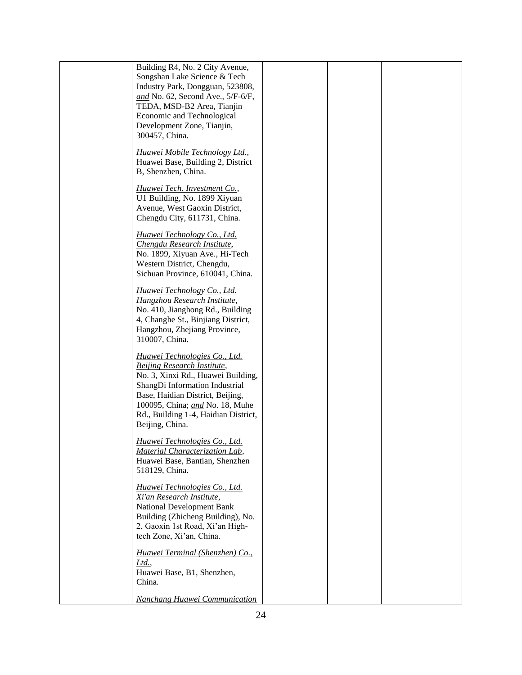| Building R4, No. 2 City Avenue,<br>Songshan Lake Science & Tech<br>Industry Park, Dongguan, 523808,                                                                                                                                                                                  |  |  |
|--------------------------------------------------------------------------------------------------------------------------------------------------------------------------------------------------------------------------------------------------------------------------------------|--|--|
| and No. 62, Second Ave., $5/F-6/F$ ,<br>TEDA, MSD-B2 Area, Tianjin                                                                                                                                                                                                                   |  |  |
| Economic and Technological<br>Development Zone, Tianjin,                                                                                                                                                                                                                             |  |  |
| 300457, China.                                                                                                                                                                                                                                                                       |  |  |
| Huawei Mobile Technology Ltd.,<br>Huawei Base, Building 2, District<br>B, Shenzhen, China.                                                                                                                                                                                           |  |  |
| Huawei Tech. Investment Co.,<br>U1 Building, No. 1899 Xiyuan<br>Avenue, West Gaoxin District,                                                                                                                                                                                        |  |  |
| Chengdu City, 611731, China.                                                                                                                                                                                                                                                         |  |  |
| Huawei Technology Co., Ltd.<br>Chengdu Research Institute,<br>No. 1899, Xiyuan Ave., Hi-Tech                                                                                                                                                                                         |  |  |
| Western District, Chengdu,<br>Sichuan Province, 610041, China.                                                                                                                                                                                                                       |  |  |
| Huawei Technology Co., Ltd.<br><b>Hangzhou Research Institute,</b><br>No. 410, Jianghong Rd., Building<br>4, Changhe St., Binjiang District,<br>Hangzhou, Zhejiang Province,<br>310007, China.                                                                                       |  |  |
| Huawei Technologies Co., Ltd.<br><b>Beijing Research Institute,</b><br>No. 3, Xinxi Rd., Huawei Building,<br>ShangDi Information Industrial<br>Base, Haidian District, Beijing,<br>100095, China; <i>and</i> No. 18, Muhe<br>Rd., Building 1-4, Haidian District,<br>Beijing, China. |  |  |
| Huawei Technologies Co., Ltd.<br>Material Characterization Lab,<br>Huawei Base, Bantian, Shenzhen<br>518129, China.                                                                                                                                                                  |  |  |
| Huawei Technologies Co., Ltd.<br>Xi'an Research Institute,<br>National Development Bank<br>Building (Zhicheng Building), No.<br>2, Gaoxin 1st Road, Xi'an High-<br>tech Zone, Xi'an, China.                                                                                          |  |  |
| Huawei Terminal (Shenzhen) Co.,<br>Ltd.<br>Huawei Base, B1, Shenzhen,<br>China.                                                                                                                                                                                                      |  |  |
| Nanchang Huawei Communication                                                                                                                                                                                                                                                        |  |  |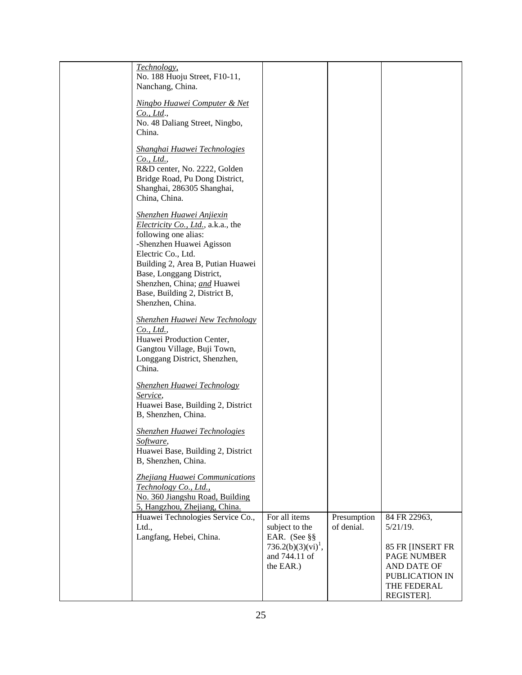| Technology,<br>No. 188 Huoju Street, F10-11,<br>Nanchang, China.                                                                                                                                                                                                                                             |                                                                                  |
|--------------------------------------------------------------------------------------------------------------------------------------------------------------------------------------------------------------------------------------------------------------------------------------------------------------|----------------------------------------------------------------------------------|
|                                                                                                                                                                                                                                                                                                              |                                                                                  |
| Ningbo Huawei Computer & Net<br>$Co$ , Ltd.,<br>No. 48 Daliang Street, Ningbo,<br>China.                                                                                                                                                                                                                     |                                                                                  |
| Shanghai Huawei Technologies<br>Co., Ltd.,<br>R&D center, No. 2222, Golden<br>Bridge Road, Pu Dong District,<br>Shanghai, 286305 Shanghai,<br>China, China.                                                                                                                                                  |                                                                                  |
| <b>Shenzhen Huawei Anjiexin</b><br><i>Electricity Co., Ltd.</i> , a.k.a., the<br>following one alias:<br>-Shenzhen Huawei Agisson<br>Electric Co., Ltd.<br>Building 2, Area B, Putian Huawei<br>Base, Longgang District,<br>Shenzhen, China; and Huawei<br>Base, Building 2, District B,<br>Shenzhen, China. |                                                                                  |
| <b>Shenzhen Huawei New Technology</b><br>Co., Ltd.,<br>Huawei Production Center,<br>Gangtou Village, Buji Town,<br>Longgang District, Shenzhen,<br>China.                                                                                                                                                    |                                                                                  |
| <b>Shenzhen Huawei Technology</b><br>Service,<br>Huawei Base, Building 2, District<br>B, Shenzhen, China.                                                                                                                                                                                                    |                                                                                  |
| <b>Shenzhen Huawei Technologies</b><br>Software,<br>Huawei Base, Building 2, District<br>B, Shenzhen, China.                                                                                                                                                                                                 |                                                                                  |
| Zhejiang Huawei Communications<br>Technology Co., Ltd.,<br>No. 360 Jiangshu Road, Building<br>5, Hangzhou, Zhejiang, China.                                                                                                                                                                                  |                                                                                  |
| For all items<br>Presumption<br>Huawei Technologies Service Co.,<br>subject to the<br>of denial.<br>Ltd.,<br>Langfang, Hebei, China.<br>EAR. (See §§<br>$736.2(b)(3)(vi)^{1}$ ,                                                                                                                              | 84 FR 22963,<br>$5/21/19$ .<br>85 FR [INSERT FR                                  |
| and 744.11 of<br>the EAR.)                                                                                                                                                                                                                                                                                   | <b>PAGE NUMBER</b><br>AND DATE OF<br>PUBLICATION IN<br>THE FEDERAL<br>REGISTER]. |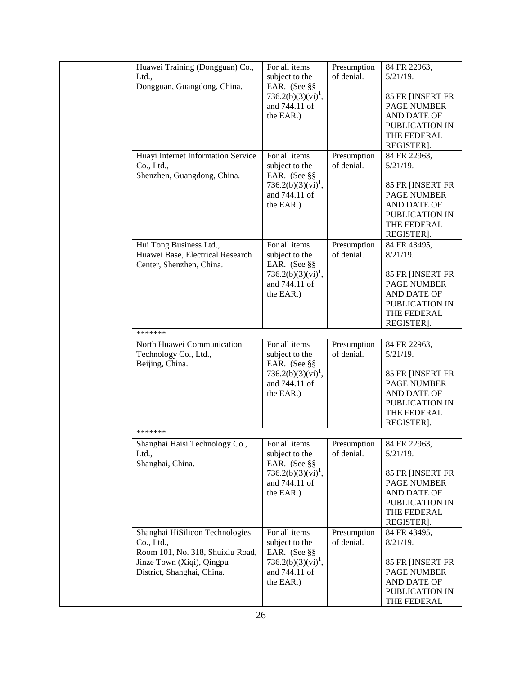| Huawei Training (Dongguan) Co.,    | For all items                  | Presumption | 84 FR 22963,       |
|------------------------------------|--------------------------------|-------------|--------------------|
| Ltd.,                              | subject to the                 | of denial.  | $5/21/19$ .        |
| Dongguan, Guangdong, China.        | EAR. (See §§                   |             |                    |
|                                    | 736.2(b)(3)(vi) <sup>1</sup> , |             | 85 FR [INSERT FR   |
|                                    | and 744.11 of                  |             | <b>PAGE NUMBER</b> |
|                                    | the EAR.)                      |             | AND DATE OF        |
|                                    |                                |             | PUBLICATION IN     |
|                                    |                                |             | THE FEDERAL        |
|                                    |                                |             | REGISTER].         |
| Huayi Internet Information Service | For all items                  | Presumption | 84 FR 22963.       |
| Co., Ltd.,                         | subject to the                 | of denial.  | $5/21/19$ .        |
| Shenzhen, Guangdong, China.        | EAR. (See §§                   |             |                    |
|                                    | 736.2(b)(3)(vi) <sup>1</sup> , |             | 85 FR [INSERT FR   |
|                                    | and 744.11 of                  |             | <b>PAGE NUMBER</b> |
|                                    |                                |             |                    |
|                                    | the EAR.)                      |             | AND DATE OF        |
|                                    |                                |             | PUBLICATION IN     |
|                                    |                                |             | THE FEDERAL        |
|                                    |                                |             | REGISTER].         |
| Hui Tong Business Ltd.,            | For all items                  | Presumption | 84 FR 43495,       |
| Huawei Base, Electrical Research   | subject to the                 | of denial.  | $8/21/19$ .        |
| Center, Shenzhen, China.           | EAR. (See §§                   |             |                    |
|                                    | $736.2(b)(3)(vi)^{1}$ ,        |             | 85 FR [INSERT FR   |
|                                    | and 744.11 of                  |             | <b>PAGE NUMBER</b> |
|                                    | the EAR.)                      |             | AND DATE OF        |
|                                    |                                |             | PUBLICATION IN     |
|                                    |                                |             | THE FEDERAL        |
|                                    |                                |             | REGISTER].         |
| *******                            |                                |             |                    |
| North Huawei Communication         | For all items                  | Presumption | 84 FR 22963,       |
| Technology Co., Ltd.,              | subject to the                 | of denial.  | $5/21/19$ .        |
| Beijing, China.                    | EAR. (See §§                   |             |                    |
|                                    | 736.2(b)(3)(vi) <sup>1</sup> , |             | 85 FR [INSERT FR   |
|                                    | and 744.11 of                  |             | <b>PAGE NUMBER</b> |
|                                    |                                |             | AND DATE OF        |
|                                    | the EAR.)                      |             |                    |
|                                    |                                |             | PUBLICATION IN     |
|                                    |                                |             | THE FEDERAL        |
|                                    |                                |             | REGISTER].         |
| *******                            |                                |             |                    |
| Shanghai Haisi Technology Co.,     | For all items                  | Presumption | 84 FR 22963.       |
| Ltd.,                              | subject to the                 | of denial.  | $5/21/19$ .        |
| Shanghai, China.                   | EAR. (See §§                   |             |                    |
|                                    | $736.2(b)(3)(vi)^{1}$ ,        |             | 85 FR [INSERT FR   |
|                                    | and 744.11 of                  |             | <b>PAGE NUMBER</b> |
|                                    | the EAR.)                      |             | AND DATE OF        |
|                                    |                                |             | PUBLICATION IN     |
|                                    |                                |             | THE FEDERAL        |
|                                    |                                |             | REGISTER].         |
| Shanghai HiSilicon Technologies    | For all items                  | Presumption | 84 FR 43495,       |
| Co., Ltd.,                         | subject to the                 | of denial.  | $8/21/19$ .        |
| Room 101, No. 318, Shuixiu Road,   | EAR. (See §§                   |             |                    |
| Jinze Town (Xiqi), Qingpu          | 736.2(b)(3)(vi) <sup>1</sup> , |             | 85 FR [INSERT FR   |
| District, Shanghai, China.         | and 744.11 of                  |             | <b>PAGE NUMBER</b> |
|                                    | the EAR.)                      |             | AND DATE OF        |
|                                    |                                |             | PUBLICATION IN     |
|                                    |                                |             | THE FEDERAL        |
|                                    |                                |             |                    |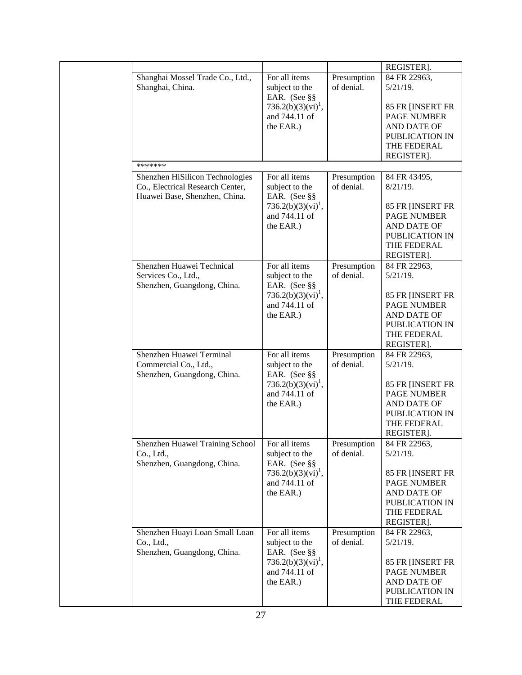|  |                                                                                                      |                                                              |                           | REGISTER].                                                                      |
|--|------------------------------------------------------------------------------------------------------|--------------------------------------------------------------|---------------------------|---------------------------------------------------------------------------------|
|  | Shanghai Mossel Trade Co., Ltd.,<br>Shanghai, China.                                                 | For all items<br>subject to the                              | Presumption<br>of denial. | 84 FR 22963,<br>$5/21/19$ .                                                     |
|  |                                                                                                      | EAR. (See §§<br>736.2(b)(3)(vi) <sup>1</sup> ,               |                           | 85 FR [INSERT FR                                                                |
|  |                                                                                                      | and 744.11 of<br>the EAR.)                                   |                           | <b>PAGE NUMBER</b><br>AND DATE OF                                               |
|  |                                                                                                      |                                                              |                           | PUBLICATION IN<br>THE FEDERAL                                                   |
|  |                                                                                                      |                                                              |                           | REGISTER].                                                                      |
|  | *******                                                                                              |                                                              |                           |                                                                                 |
|  | Shenzhen HiSilicon Technologies<br>Co., Electrical Research Center,<br>Huawei Base, Shenzhen, China. | For all items<br>subject to the<br>EAR. (See §§              | Presumption<br>of denial. | 84 FR 43495,<br>$8/21/19$ .                                                     |
|  |                                                                                                      | 736.2(b)(3)(vi) <sup>1</sup> ,<br>and 744.11 of              |                           | 85 FR [INSERT FR<br><b>PAGE NUMBER</b>                                          |
|  |                                                                                                      | the EAR.)                                                    |                           | AND DATE OF<br>PUBLICATION IN<br>THE FEDERAL<br>REGISTER].                      |
|  | Shenzhen Huawei Technical<br>Services Co., Ltd.,<br>Shenzhen, Guangdong, China.                      | For all items<br>subject to the<br>EAR. (See §§              | Presumption<br>of denial. | 84 FR 22963,<br>$5/21/19$ .                                                     |
|  |                                                                                                      | 736.2(b)(3)(vi) <sup>1</sup> ,<br>and 744.11 of<br>the EAR.) |                           | 85 FR [INSERT FR<br>PAGE NUMBER<br>AND DATE OF<br>PUBLICATION IN<br>THE FEDERAL |
|  | Shenzhen Huawei Terminal                                                                             | For all items                                                | Presumption               | REGISTER].<br>84 FR 22963,                                                      |
|  | Commercial Co., Ltd.,<br>Shenzhen, Guangdong, China.                                                 | subject to the<br>EAR. (See §§                               | of denial.                | $5/21/19$ .                                                                     |
|  |                                                                                                      | $736.2(b)(3)(vi)^1$ ,<br>and 744.11 of                       |                           | 85 FR [INSERT FR<br><b>PAGE NUMBER</b>                                          |
|  |                                                                                                      | the EAR.)                                                    |                           | AND DATE OF<br>PUBLICATION IN                                                   |
|  |                                                                                                      |                                                              |                           | THE FEDERAL<br>REGISTER].                                                       |
|  | Shenzhen Huawei Training School                                                                      | For all items                                                | Presumption               | 84 FR 22963.                                                                    |
|  | Co., Ltd.,<br>Shenzhen, Guangdong, China.                                                            | subject to the<br>EAR. (See §§                               | of denial.                | $5/21/19$ .                                                                     |
|  |                                                                                                      | $736.2(b)(3)(vi)^{1}$ ,<br>and 744.11 of                     |                           | 85 FR [INSERT FR<br><b>PAGE NUMBER</b>                                          |
|  |                                                                                                      | the EAR.)                                                    |                           | AND DATE OF<br>PUBLICATION IN                                                   |
|  |                                                                                                      |                                                              |                           | THE FEDERAL                                                                     |
|  |                                                                                                      | For all items                                                |                           | REGISTER].<br>84 FR 22963,                                                      |
|  | Shenzhen Huayi Loan Small Loan<br>$Co$ , Ltd.,<br>Shenzhen, Guangdong, China.                        | subject to the<br>EAR. (See §§                               | Presumption<br>of denial. | $5/21/19$ .                                                                     |
|  |                                                                                                      | 736.2(b)(3)(vi) <sup>1</sup> ,<br>and 744.11 of              |                           | 85 FR [INSERT FR<br><b>PAGE NUMBER</b>                                          |
|  |                                                                                                      | the EAR.)                                                    |                           | AND DATE OF                                                                     |
|  |                                                                                                      |                                                              |                           | PUBLICATION IN<br>THE FEDERAL                                                   |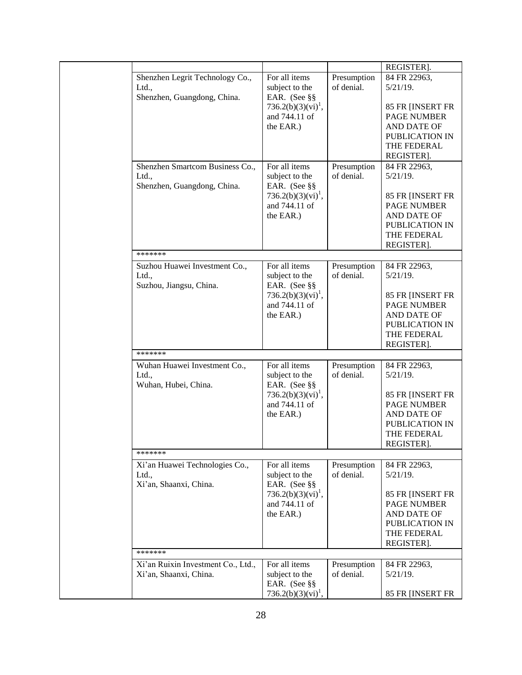|                                    |                                |             | REGISTER].         |
|------------------------------------|--------------------------------|-------------|--------------------|
| Shenzhen Legrit Technology Co.,    | For all items                  | Presumption | 84 FR 22963,       |
| Ltd.,                              | subject to the                 | of denial.  | $5/21/19$ .        |
| Shenzhen, Guangdong, China.        | EAR. (See §§                   |             |                    |
|                                    | 736.2(b)(3)(vi) <sup>1</sup> , |             | 85 FR [INSERT FR   |
|                                    | and 744.11 of                  |             | <b>PAGE NUMBER</b> |
|                                    | the EAR.)                      |             | <b>AND DATE OF</b> |
|                                    |                                |             | PUBLICATION IN     |
|                                    |                                |             | THE FEDERAL        |
|                                    |                                |             | REGISTER].         |
| Shenzhen Smartcom Business Co.,    | For all items                  | Presumption | 84 FR 22963,       |
| Ltd.,                              | subject to the                 | of denial.  | $5/21/19$ .        |
| Shenzhen, Guangdong, China.        | EAR. (See §§                   |             |                    |
|                                    | 736.2(b)(3)(vi) <sup>1</sup> , |             | 85 FR [INSERT FR   |
|                                    | and 744.11 of                  |             | <b>PAGE NUMBER</b> |
|                                    | the EAR.)                      |             | AND DATE OF        |
|                                    |                                |             | PUBLICATION IN     |
|                                    |                                |             | THE FEDERAL        |
|                                    |                                |             | REGISTER].         |
| *******                            |                                |             |                    |
| Suzhou Huawei Investment Co.,      | For all items                  | Presumption | 84 FR 22963,       |
| Ltd.,                              | subject to the                 | of denial.  | $5/21/19$ .        |
| Suzhou, Jiangsu, China.            | EAR. (See §§                   |             |                    |
|                                    | $736.2(b)(3)(vi)^{1}$ ,        |             | 85 FR [INSERT FR   |
|                                    | and 744.11 of                  |             | <b>PAGE NUMBER</b> |
|                                    | the EAR.)                      |             | AND DATE OF        |
|                                    |                                |             | PUBLICATION IN     |
|                                    |                                |             | THE FEDERAL        |
|                                    |                                |             | REGISTER].         |
| *******                            |                                |             |                    |
| Wuhan Huawei Investment Co.,       | For all items                  | Presumption | 84 FR 22963,       |
|                                    |                                | of denial.  | $5/21/19$ .        |
| Ltd.,                              | subject to the                 |             |                    |
| Wuhan, Hubei, China.               | EAR. (See §§                   |             |                    |
|                                    | 736.2(b)(3)(vi) <sup>1</sup> , |             | 85 FR [INSERT FR   |
|                                    | and 744.11 of                  |             | PAGE NUMBER        |
|                                    | the EAR.)                      |             | AND DATE OF        |
|                                    |                                |             | PUBLICATION IN     |
|                                    |                                |             | THE FEDERAL        |
| *******                            |                                |             | REGISTER].         |
|                                    |                                |             |                    |
| Xi'an Huawei Technologies Co.,     | For all items                  | Presumption | 84 FR 22963,       |
| Ltd.,                              | subject to the                 | of denial.  | $5/21/19$ .        |
| Xi'an, Shaanxi, China.             | EAR. (See §§                   |             |                    |
|                                    | $736.2(b)(3)(vi)^{1}$ ,        |             | 85 FR [INSERT FR   |
|                                    | and 744.11 of                  |             | <b>PAGE NUMBER</b> |
|                                    | the EAR.)                      |             | AND DATE OF        |
|                                    |                                |             | PUBLICATION IN     |
|                                    |                                |             | THE FEDERAL        |
|                                    |                                |             | REGISTER].         |
| *******                            |                                |             |                    |
| Xi'an Ruixin Investment Co., Ltd., | For all items                  | Presumption | 84 FR 22963,       |
| Xi'an, Shaanxi, China.             | subject to the                 | of denial.  | $5/21/19$ .        |
|                                    | EAR. (See §§                   |             |                    |
|                                    | 736.2(b)(3)(vi) <sup>1</sup> , |             | 85 FR [INSERT FR   |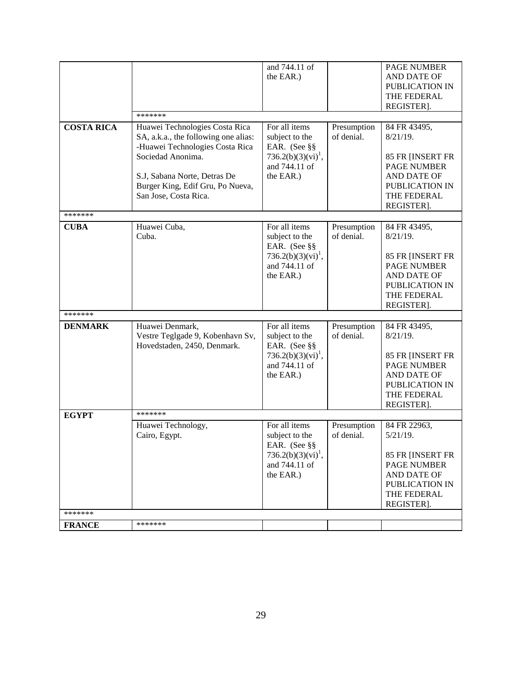|                   |                                                                                                                                                                                                                             | and 744.11 of<br>the EAR.)                                                                                      |                           | PAGE NUMBER<br>AND DATE OF<br>PUBLICATION IN<br>THE FEDERAL<br>REGISTER].                                                           |
|-------------------|-----------------------------------------------------------------------------------------------------------------------------------------------------------------------------------------------------------------------------|-----------------------------------------------------------------------------------------------------------------|---------------------------|-------------------------------------------------------------------------------------------------------------------------------------|
|                   | *******                                                                                                                                                                                                                     |                                                                                                                 |                           |                                                                                                                                     |
| <b>COSTA RICA</b> | Huawei Technologies Costa Rica<br>SA, a.k.a., the following one alias:<br>-Huawei Technologies Costa Rica<br>Sociedad Anonima.<br>S.J, Sabana Norte, Detras De<br>Burger King, Edif Gru, Po Nueva,<br>San Jose, Costa Rica. | For all items<br>subject to the<br>EAR. (See §§<br>$736.2(b)(3)(vi)^{1}$ ,<br>and 744.11 of<br>the EAR.)        | Presumption<br>of denial. | 84 FR 43495,<br>$8/21/19$ .<br>85 FR [INSERT FR<br><b>PAGE NUMBER</b><br>AND DATE OF<br>PUBLICATION IN<br>THE FEDERAL<br>REGISTER]. |
| *******           |                                                                                                                                                                                                                             |                                                                                                                 |                           |                                                                                                                                     |
| <b>CUBA</b>       | Huawei Cuba,<br>Cuba.                                                                                                                                                                                                       | For all items<br>subject to the<br>EAR. (See §§<br>736.2(b)(3)(vi) <sup>1</sup> ,<br>and 744.11 of<br>the EAR.) | Presumption<br>of denial. | 84 FR 43495,<br>$8/21/19$ .<br>85 FR [INSERT FR<br><b>PAGE NUMBER</b><br>AND DATE OF<br>PUBLICATION IN<br>THE FEDERAL<br>REGISTER]. |
| *******           |                                                                                                                                                                                                                             |                                                                                                                 |                           |                                                                                                                                     |
| <b>DENMARK</b>    | Huawei Denmark,<br>Vestre Teglgade 9, Kobenhavn Sv,<br>Hovedstaden, 2450, Denmark.                                                                                                                                          | For all items<br>subject to the<br>EAR. (See §§<br>$736.2(b)(3)(vi)^{1}$ ,<br>and 744.11 of<br>the EAR.)        | Presumption<br>of denial. | 84 FR 43495,<br>$8/21/19$ .<br>85 FR [INSERT FR<br><b>PAGE NUMBER</b><br>AND DATE OF<br>PUBLICATION IN<br>THE FEDERAL<br>REGISTER]. |
| <b>EGYPT</b>      | *******                                                                                                                                                                                                                     |                                                                                                                 |                           |                                                                                                                                     |
|                   | Huawei Technology,<br>Cairo, Egypt.                                                                                                                                                                                         | For all items<br>subject to the<br>EAR. (See §§<br>736.2(b)(3)(vi) <sup>1</sup> ,<br>and 744.11 of<br>the EAR.) | Presumption<br>of denial. | 84 FR 22963,<br>$5/21/19$ .<br>85 FR [INSERT FR<br><b>PAGE NUMBER</b><br>AND DATE OF<br>PUBLICATION IN<br>THE FEDERAL<br>REGISTER]. |
| *******           |                                                                                                                                                                                                                             |                                                                                                                 |                           |                                                                                                                                     |
| <b>FRANCE</b>     | *******                                                                                                                                                                                                                     |                                                                                                                 |                           |                                                                                                                                     |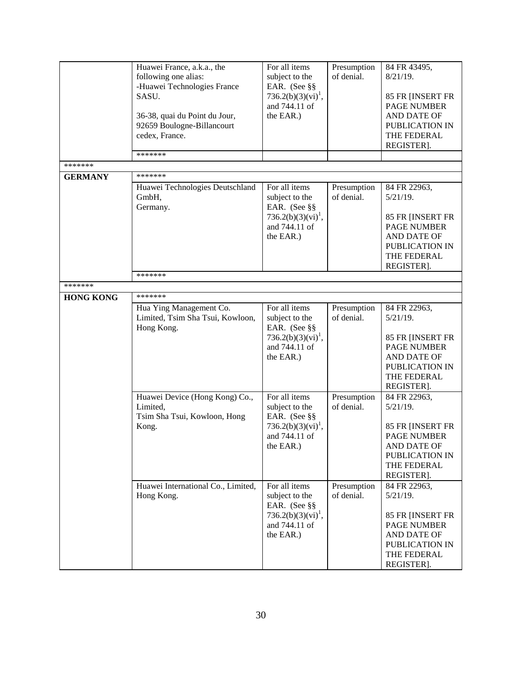|                  | Huawei France, a.k.a., the<br>following one alias:<br>-Huawei Technologies France<br>SASU.<br>36-38, quai du Point du Jour,<br>92659 Boulogne-Billancourt<br>cedex, France. | For all items<br>subject to the<br>EAR. (See §§<br>$736.2(b)(3)(vi)^1$ ,<br>and 744.11 of<br>the EAR.)          | Presumption<br>of denial. | 84 FR 43495,<br>$8/21/19$ .<br>85 FR [INSERT FR<br><b>PAGE NUMBER</b><br>AND DATE OF<br>PUBLICATION IN<br>THE FEDERAL<br>REGISTER]. |
|------------------|-----------------------------------------------------------------------------------------------------------------------------------------------------------------------------|-----------------------------------------------------------------------------------------------------------------|---------------------------|-------------------------------------------------------------------------------------------------------------------------------------|
| *******          | *******                                                                                                                                                                     |                                                                                                                 |                           |                                                                                                                                     |
| <b>GERMANY</b>   | *******                                                                                                                                                                     |                                                                                                                 |                           |                                                                                                                                     |
|                  | Huawei Technologies Deutschland<br>GmbH,<br>Germany.                                                                                                                        | For all items<br>subject to the<br>EAR. (See §§<br>$736.2(b)(3)(vi)^1$ ,<br>and 744.11 of<br>the EAR.)          | Presumption<br>of denial. | 84 FR 22963,<br>$5/21/19$ .<br>85 FR [INSERT FR<br><b>PAGE NUMBER</b><br>AND DATE OF<br>PUBLICATION IN<br>THE FEDERAL<br>REGISTER]. |
|                  | *******                                                                                                                                                                     |                                                                                                                 |                           |                                                                                                                                     |
| *******          |                                                                                                                                                                             |                                                                                                                 |                           |                                                                                                                                     |
| <b>HONG KONG</b> | *******<br>Hua Ying Management Co.<br>Limited, Tsim Sha Tsui, Kowloon,<br>Hong Kong.                                                                                        | For all items<br>subject to the<br>EAR. (See §§<br>$736.2(b)(3)(vi)^{1}$ ,<br>and 744.11 of<br>the EAR.)        | Presumption<br>of denial. | 84 FR 22963,<br>$5/21/19$ .<br>85 FR [INSERT FR<br><b>PAGE NUMBER</b><br>AND DATE OF<br>PUBLICATION IN<br>THE FEDERAL<br>REGISTER]. |
|                  | Huawei Device (Hong Kong) Co.,<br>Limited,<br>Tsim Sha Tsui, Kowloon, Hong<br>Kong.                                                                                         | For all items<br>subject to the<br>EAR. (See §§<br>736.2(b)(3)(vi) <sup>1</sup> ,<br>and 744.11 of<br>the EAR.) | Presumption<br>of denial. | 84 FR 22963,<br>$5/21/19$ .<br>85 FR [INSERT FR<br><b>PAGE NUMBER</b><br>AND DATE OF<br>PUBLICATION IN<br>THE FEDERAL<br>REGISTER]. |
|                  | Huawei International Co., Limited,<br>Hong Kong.                                                                                                                            | For all items<br>subject to the<br>EAR. (See §§<br>$736.2(b)(3)(vi)^1$ ,<br>and 744.11 of<br>the EAR.)          | Presumption<br>of denial. | 84 FR 22963,<br>$5/21/19$ .<br>85 FR [INSERT FR<br><b>PAGE NUMBER</b><br>AND DATE OF<br>PUBLICATION IN<br>THE FEDERAL<br>REGISTER]. |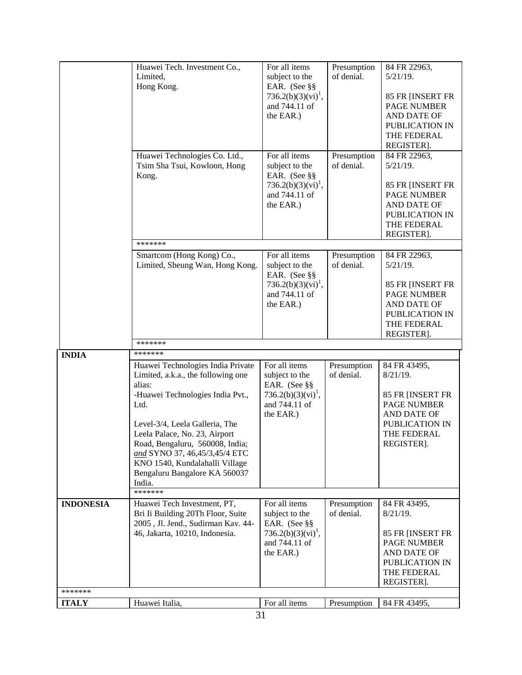|                  | Huawei Tech. Investment Co.,                                     | For all items                                   | Presumption               | 84 FR 22963,                           |
|------------------|------------------------------------------------------------------|-------------------------------------------------|---------------------------|----------------------------------------|
|                  | Limited,                                                         | subject to the                                  | of denial.                | $5/21/19$ .                            |
|                  | Hong Kong.                                                       | EAR. (See §§                                    |                           |                                        |
|                  |                                                                  | 736.2(b)(3)(vi) <sup>1</sup> ,                  |                           | 85 FR [INSERT FR                       |
|                  |                                                                  | and 744.11 of                                   |                           | <b>PAGE NUMBER</b>                     |
|                  |                                                                  | the EAR.)                                       |                           | AND DATE OF                            |
|                  |                                                                  |                                                 |                           | PUBLICATION IN                         |
|                  |                                                                  |                                                 |                           | THE FEDERAL                            |
|                  |                                                                  |                                                 |                           | REGISTER].                             |
|                  | Huawei Technologies Co. Ltd.,<br>Tsim Sha Tsui, Kowloon, Hong    | For all items<br>subject to the                 | Presumption<br>of denial. | 84 FR 22963,<br>$5/21/19$ .            |
|                  | Kong.                                                            | EAR. (See §§<br>$736.2(b)(3)(vi)^{1}$ ,         |                           | 85 FR [INSERT FR                       |
|                  |                                                                  | and 744.11 of                                   |                           | <b>PAGE NUMBER</b>                     |
|                  |                                                                  | the EAR.)                                       |                           | AND DATE OF                            |
|                  |                                                                  |                                                 |                           | PUBLICATION IN                         |
|                  |                                                                  |                                                 |                           | THE FEDERAL                            |
|                  |                                                                  |                                                 |                           | REGISTER].                             |
|                  | *******                                                          |                                                 |                           |                                        |
|                  | Smartcom (Hong Kong) Co.,<br>Limited, Sheung Wan, Hong Kong.     | For all items<br>subject to the                 | Presumption<br>of denial. | 84 FR 22963,<br>$5/21/19$ .            |
|                  |                                                                  | EAR. (See §§<br>$736.2(b)(3)(vi)^{1}$ ,         |                           | 85 FR [INSERT FR                       |
|                  |                                                                  | and 744.11 of                                   |                           | <b>PAGE NUMBER</b>                     |
|                  |                                                                  | the EAR.)                                       |                           | AND DATE OF                            |
|                  |                                                                  |                                                 |                           | PUBLICATION IN                         |
|                  |                                                                  |                                                 |                           | THE FEDERAL                            |
|                  |                                                                  |                                                 |                           | REGISTER].                             |
|                  |                                                                  |                                                 |                           |                                        |
|                  | *******                                                          |                                                 |                           |                                        |
| <b>INDIA</b>     | *******                                                          |                                                 |                           |                                        |
|                  | Huawei Technologies India Private                                | For all items                                   | Presumption               | 84 FR 43495,                           |
|                  | Limited, a.k.a., the following one                               | subject to the                                  | of denial.                | $8/21/19$ .                            |
|                  | alias:                                                           | EAR. (See §§                                    |                           |                                        |
|                  | -Huawei Technologies India Pvt.,<br>Ltd.                         | 736.2(b)(3)(vi) <sup>1</sup> ,<br>and 744.11 of |                           | 85 FR [INSERT FR<br><b>PAGE NUMBER</b> |
|                  |                                                                  | the EAR.)                                       |                           | AND DATE OF                            |
|                  | Level-3/4, Leela Galleria, The                                   |                                                 |                           | PUBLICATION IN                         |
|                  | Leela Palace, No. 23, Airport                                    |                                                 |                           | THE FEDERAL                            |
|                  | Road, Bengaluru, 560008, India;                                  |                                                 |                           | REGISTER].                             |
|                  | and SYNO 37, 46,45/3,45/4 ETC                                    |                                                 |                           |                                        |
|                  | KNO 1540, Kundalahalli Village                                   |                                                 |                           |                                        |
|                  | Bengaluru Bangalore KA 560037                                    |                                                 |                           |                                        |
|                  | India.<br>*******                                                |                                                 |                           |                                        |
|                  |                                                                  | For all items                                   |                           |                                        |
| <b>INDONESIA</b> | Huawei Tech Investment, PT,<br>Bri Ii Building 20Th Floor, Suite | subject to the                                  | Presumption<br>of denial. | 84 FR 43495,<br>$8/21/19$ .            |
|                  | 2005, Jl. Jend., Sudirman Kav. 44-                               | EAR. (See §§                                    |                           |                                        |
|                  | 46, Jakarta, 10210, Indonesia.                                   | $736.2(b)(3)(vi)^1$ ,                           |                           | 85 FR [INSERT FR                       |
|                  |                                                                  | and 744.11 of                                   |                           | <b>PAGE NUMBER</b>                     |
|                  |                                                                  | the EAR.)                                       |                           | AND DATE OF                            |
|                  |                                                                  |                                                 |                           | PUBLICATION IN                         |
|                  |                                                                  |                                                 |                           | THE FEDERAL                            |
| *******          |                                                                  |                                                 |                           | REGISTER].                             |
| <b>ITALY</b>     | Huawei Italia,                                                   | For all items                                   | Presumption               | 84 FR 43495,                           |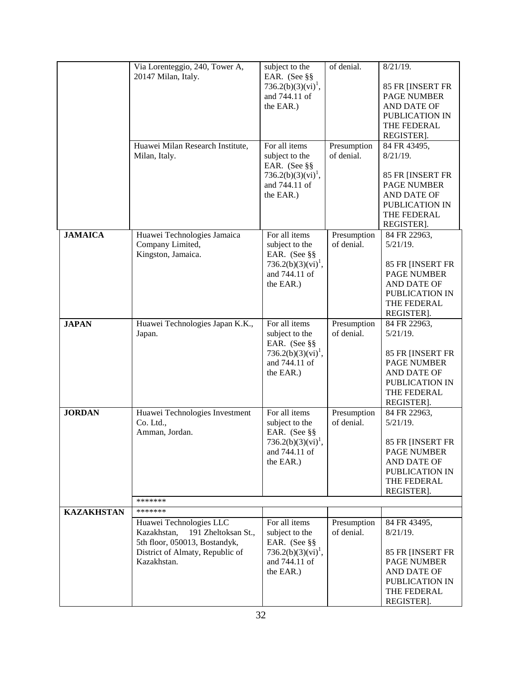|                   | Via Lorenteggio, 240, Tower A,<br>20147 Milan, Italy.                                                                                            | subject to the<br>EAR. (See §§<br>736.2(b)(3)(vi) <sup>1</sup> ,<br>and 744.11 of<br>the EAR.)                  | of denial.                | $8/21/19$ .<br>85 FR [INSERT FR<br><b>PAGE NUMBER</b><br>AND DATE OF<br>PUBLICATION IN<br>THE FEDERAL<br>REGISTER].                 |
|-------------------|--------------------------------------------------------------------------------------------------------------------------------------------------|-----------------------------------------------------------------------------------------------------------------|---------------------------|-------------------------------------------------------------------------------------------------------------------------------------|
|                   | Huawei Milan Research Institute,<br>Milan, Italy.                                                                                                | For all items<br>subject to the<br>EAR. (See §§<br>736.2(b)(3)(vi) <sup>1</sup> ,<br>and 744.11 of<br>the EAR.) | Presumption<br>of denial. | 84 FR 43495,<br>$8/21/19$ .<br>85 FR [INSERT FR<br><b>PAGE NUMBER</b><br>AND DATE OF<br>PUBLICATION IN<br>THE FEDERAL<br>REGISTER]. |
| <b>JAMAICA</b>    | Huawei Technologies Jamaica<br>Company Limited,<br>Kingston, Jamaica.                                                                            | For all items<br>subject to the<br>EAR. (See §§<br>736.2(b)(3)(vi) <sup>1</sup> ,<br>and 744.11 of<br>the EAR.) | Presumption<br>of denial. | 84 FR 22963,<br>$5/21/19$ .<br>85 FR [INSERT FR<br><b>PAGE NUMBER</b><br>AND DATE OF<br>PUBLICATION IN<br>THE FEDERAL<br>REGISTER]. |
| <b>JAPAN</b>      | Huawei Technologies Japan K.K.,<br>Japan.                                                                                                        | For all items<br>subject to the<br>EAR. (See §§<br>$736.2(b)(3)(vi)^{1}$ ,<br>and 744.11 of<br>the EAR.)        | Presumption<br>of denial. | 84 FR 22963,<br>$5/21/19$ .<br>85 FR [INSERT FR<br><b>PAGE NUMBER</b><br>AND DATE OF<br>PUBLICATION IN<br>THE FEDERAL<br>REGISTER]. |
| <b>JORDAN</b>     | Huawei Technologies Investment<br>Co. Ltd.,<br>Amman, Jordan.<br>*******                                                                         | For all items<br>subject to the<br>EAR. (See §§<br>736.2(b)(3)(vi) <sup>1</sup> ,<br>and 744.11 of<br>the EAR.) | Presumption<br>of denial. | 84 FR 22963,<br>$5/21/19$ .<br>85 FR [INSERT FR<br><b>PAGE NUMBER</b><br>AND DATE OF<br>PUBLICATION IN<br>THE FEDERAL<br>REGISTER]. |
| <b>KAZAKHSTAN</b> | *******                                                                                                                                          |                                                                                                                 |                           |                                                                                                                                     |
|                   | Huawei Technologies LLC<br>191 Zheltoksan St.,<br>Kazakhstan,<br>5th floor, 050013, Bostandyk,<br>District of Almaty, Republic of<br>Kazakhstan. | For all items<br>subject to the<br>EAR. (See §§<br>736.2(b)(3)(vi) <sup>1</sup> ,<br>and 744.11 of<br>the EAR.) | Presumption<br>of denial. | 84 FR 43495,<br>$8/21/19$ .<br>85 FR [INSERT FR<br><b>PAGE NUMBER</b><br>AND DATE OF<br>PUBLICATION IN<br>THE FEDERAL<br>REGISTER]. |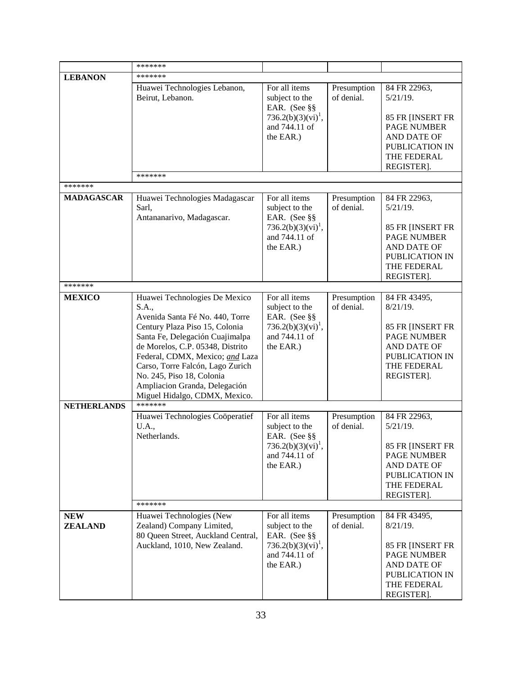|                              | *******                                                                                                                                                                                                                                                                                                                                                  |                                                                                                                 |                           |                                                                                                                                            |
|------------------------------|----------------------------------------------------------------------------------------------------------------------------------------------------------------------------------------------------------------------------------------------------------------------------------------------------------------------------------------------------------|-----------------------------------------------------------------------------------------------------------------|---------------------------|--------------------------------------------------------------------------------------------------------------------------------------------|
|                              | *******                                                                                                                                                                                                                                                                                                                                                  |                                                                                                                 |                           |                                                                                                                                            |
| <b>LEBANON</b>               | Huawei Technologies Lebanon,<br>Beirut, Lebanon.                                                                                                                                                                                                                                                                                                         | For all items<br>subject to the<br>EAR. (See §§<br>736.2(b)(3)(vi) <sup>1</sup> ,<br>and 744.11 of<br>the EAR.) | Presumption<br>of denial. | 84 FR 22963,<br>$5/21/19$ .<br>85 FR [INSERT FR<br><b>PAGE NUMBER</b><br>AND DATE OF<br>PUBLICATION IN<br>THE FEDERAL<br>REGISTER].        |
|                              | *******                                                                                                                                                                                                                                                                                                                                                  |                                                                                                                 |                           |                                                                                                                                            |
| *******                      |                                                                                                                                                                                                                                                                                                                                                          |                                                                                                                 |                           |                                                                                                                                            |
| <b>MADAGASCAR</b>            | Huawei Technologies Madagascar<br>Sarl.<br>Antananarivo, Madagascar.                                                                                                                                                                                                                                                                                     | For all items<br>subject to the<br>EAR. (See §§<br>$736.2(b)(3)(vi)^{1}$ ,<br>and 744.11 of<br>the EAR.)        | Presumption<br>of denial. | 84 FR 22963,<br>$5/21/19$ .<br>85 FR [INSERT FR<br><b>PAGE NUMBER</b><br><b>AND DATE OF</b><br>PUBLICATION IN<br>THE FEDERAL<br>REGISTER]. |
| *******                      |                                                                                                                                                                                                                                                                                                                                                          |                                                                                                                 |                           |                                                                                                                                            |
| <b>MEXICO</b>                | Huawei Technologies De Mexico<br>S.A.,<br>Avenida Santa Fé No. 440, Torre<br>Century Plaza Piso 15, Colonia<br>Santa Fe, Delegación Cuajimalpa<br>de Morelos, C.P. 05348, Distrito<br>Federal, CDMX, Mexico; and Laza<br>Carso, Torre Falcón, Lago Zurich<br>No. 245, Piso 18, Colonia<br>Ampliacion Granda, Delegación<br>Miguel Hidalgo, CDMX, Mexico. | For all items<br>subject to the<br>EAR. (See §§<br>736.2(b)(3)(vi) <sup>1</sup> ,<br>and 744.11 of<br>the EAR.) | Presumption<br>of denial. | 84 FR 43495,<br>$8/21/19$ .<br>85 FR [INSERT FR<br><b>PAGE NUMBER</b><br>AND DATE OF<br>PUBLICATION IN<br>THE FEDERAL<br>REGISTER].        |
| <b>NETHERLANDS</b>           | *******                                                                                                                                                                                                                                                                                                                                                  |                                                                                                                 |                           |                                                                                                                                            |
|                              | Huawei Technologies Coöperatief<br>U.A.,<br>Netherlands.                                                                                                                                                                                                                                                                                                 | For all items<br>subject to the<br>EAR. (See §§<br>$736.2(b)(3)(vi)^1$ ,<br>and 744.11 of<br>the EAR.)          | Presumption<br>of denial. | 84 FR 22963,<br>$5/21/19$ .<br>85 FR [INSERT FR<br>PAGE NUMBER<br>AND DATE OF<br>PUBLICATION IN<br>THE FEDERAL<br>REGISTER].               |
|                              | *******                                                                                                                                                                                                                                                                                                                                                  |                                                                                                                 |                           |                                                                                                                                            |
| <b>NEW</b><br><b>ZEALAND</b> | Huawei Technologies (New<br>Zealand) Company Limited,<br>80 Queen Street, Auckland Central,<br>Auckland, 1010, New Zealand.                                                                                                                                                                                                                              | For all items<br>subject to the<br>EAR. (See §§<br>$736.2(b)(3)(vi)^1$ ,<br>and 744.11 of<br>the EAR.)          | Presumption<br>of denial. | 84 FR 43495,<br>$8/21/19$ .<br>85 FR [INSERT FR<br><b>PAGE NUMBER</b><br>AND DATE OF<br>PUBLICATION IN<br>THE FEDERAL<br>REGISTER].        |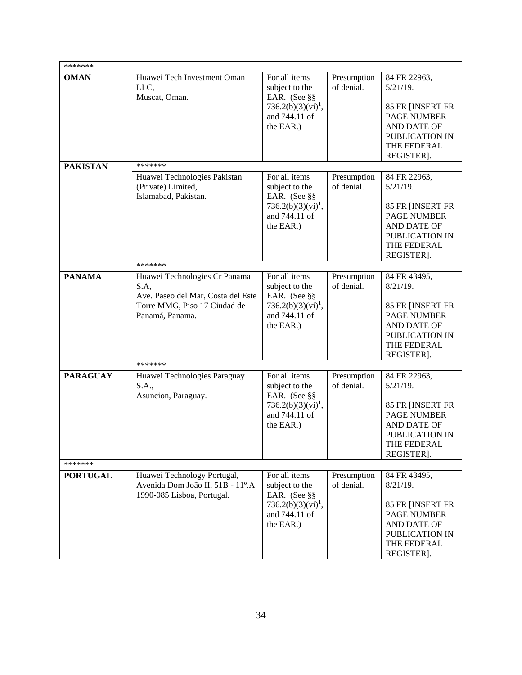| *******                    |                                                                                                                                |                                                                                                                 |                           |                                                                                                                                     |
|----------------------------|--------------------------------------------------------------------------------------------------------------------------------|-----------------------------------------------------------------------------------------------------------------|---------------------------|-------------------------------------------------------------------------------------------------------------------------------------|
| <b>OMAN</b>                | Huawei Tech Investment Oman<br>LLC.<br>Muscat, Oman.                                                                           | For all items<br>subject to the<br>EAR. (See §§<br>$736.2(b)(3)(vi)^1$ ,<br>and 744.11 of<br>the EAR.)          | Presumption<br>of denial. | 84 FR 22963,<br>$5/21/19$ .<br>85 FR [INSERT FR<br>PAGE NUMBER<br>AND DATE OF<br>PUBLICATION IN<br>THE FEDERAL<br>REGISTER].        |
| <b>PAKISTAN</b>            | *******<br>Huawei Technologies Pakistan<br>(Private) Limited,<br>Islamabad, Pakistan.<br>*******                               | For all items<br>subject to the<br>EAR. (See §§<br>736.2(b)(3)(vi) <sup>1</sup> ,<br>and 744.11 of<br>the EAR.) | Presumption<br>of denial. | 84 FR 22963,<br>$5/21/19$ .<br>85 FR [INSERT FR<br><b>PAGE NUMBER</b><br>AND DATE OF<br>PUBLICATION IN<br>THE FEDERAL<br>REGISTER]. |
| <b>PANAMA</b>              | Huawei Technologies Cr Panama<br>S.A,<br>Ave. Paseo del Mar, Costa del Este<br>Torre MMG, Piso 17 Ciudad de<br>Panamá, Panama. | For all items<br>subject to the<br>EAR. (See §§<br>$736.2(b)(3)(vi)^{1}$ ,<br>and 744.11 of<br>the EAR.)        | Presumption<br>of denial. | 84 FR 43495,<br>$8/21/19$ .<br>85 FR [INSERT FR<br><b>PAGE NUMBER</b><br>AND DATE OF<br>PUBLICATION IN<br>THE FEDERAL<br>REGISTER]. |
| <b>PARAGUAY</b>            | *******<br>Huawei Technologies Paraguay<br>S.A.,<br>Asuncion, Paraguay.                                                        | For all items<br>subject to the<br>EAR. (See §§<br>736.2(b)(3)(vi) <sup>1</sup> ,<br>and 744.11 of<br>the EAR.) | Presumption<br>of denial. | 84 FR 22963,<br>$5/21/19$ .<br>85 FR [INSERT FR<br><b>PAGE NUMBER</b><br>AND DATE OF<br>PUBLICATION IN<br>THE FEDERAL<br>REGISTER]. |
| *******<br><b>PORTUGAL</b> | Huawei Technology Portugal,<br>Avenida Dom João II, 51B - 11°.A<br>1990-085 Lisboa, Portugal.                                  | For all items<br>subject to the<br>EAR. (See §§<br>$736.2(b)(3)(vi)^{1}$ ,<br>and 744.11 of<br>the EAR.)        | Presumption<br>of denial. | 84 FR 43495,<br>$8/21/19$ .<br>85 FR [INSERT FR<br><b>PAGE NUMBER</b><br>AND DATE OF<br>PUBLICATION IN<br>THE FEDERAL<br>REGISTER]. |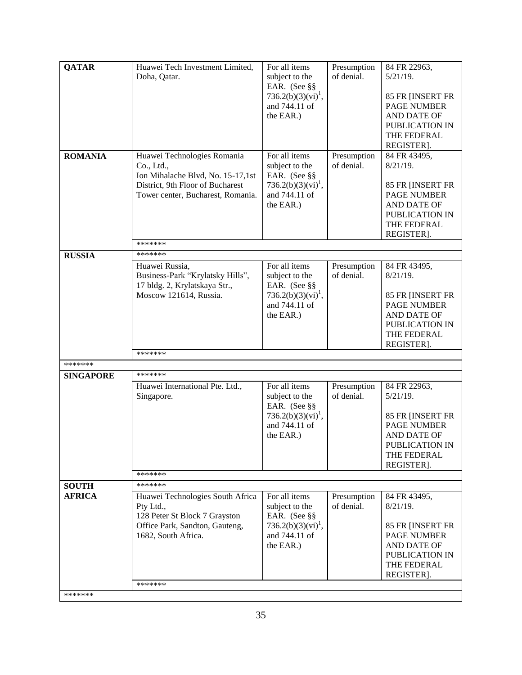| <b>QATAR</b>                  | Huawei Tech Investment Limited,                                       | For all items                                   | Presumption               | 84 FR 22963,                    |
|-------------------------------|-----------------------------------------------------------------------|-------------------------------------------------|---------------------------|---------------------------------|
|                               | Doha, Qatar.                                                          | subject to the                                  | of denial.                | $5/21/19$ .                     |
|                               |                                                                       | EAR. (See §§                                    |                           |                                 |
|                               |                                                                       | $736.2(b)(3)(vi)^1$ ,                           |                           | 85 FR [INSERT FR                |
|                               |                                                                       | and 744.11 of                                   |                           | <b>PAGE NUMBER</b>              |
|                               |                                                                       | the EAR.)                                       |                           | AND DATE OF                     |
|                               |                                                                       |                                                 |                           | PUBLICATION IN                  |
|                               |                                                                       |                                                 |                           | THE FEDERAL                     |
|                               |                                                                       |                                                 |                           | REGISTER].                      |
| <b>ROMANIA</b>                | Huawei Technologies Romania                                           | For all items                                   | Presumption               | 84 FR 43495,                    |
|                               | Co., Ltd.,                                                            | subject to the                                  | of denial.                | $8/21/19$ .                     |
|                               | Ion Mihalache Blvd, No. 15-17,1st                                     | EAR. (See §§                                    |                           |                                 |
|                               | District, 9th Floor of Bucharest<br>Tower center, Bucharest, Romania. | 736.2(b)(3)(vi) <sup>1</sup> ,<br>and 744.11 of |                           | 85 FR [INSERT FR<br>PAGE NUMBER |
|                               |                                                                       | the EAR.)                                       |                           | AND DATE OF                     |
|                               |                                                                       |                                                 |                           | PUBLICATION IN                  |
|                               |                                                                       |                                                 |                           | THE FEDERAL                     |
|                               |                                                                       |                                                 |                           | REGISTER].                      |
|                               | *******                                                               |                                                 |                           |                                 |
| <b>RUSSIA</b>                 | *******                                                               |                                                 |                           |                                 |
|                               | Huawei Russia,                                                        | For all items                                   | Presumption               | 84 FR 43495,                    |
|                               | Business-Park "Krylatsky Hills",                                      | subject to the                                  | of denial.                | $8/21/19$ .                     |
|                               | 17 bldg. 2, Krylatskaya Str.,<br>Moscow 121614, Russia.               | EAR. (See §§<br>736.2(b)(3)(vi) <sup>1</sup> ,  |                           | 85 FR [INSERT FR                |
|                               |                                                                       | and 744.11 of                                   |                           | <b>PAGE NUMBER</b>              |
|                               |                                                                       | the EAR.)                                       |                           | AND DATE OF                     |
|                               |                                                                       |                                                 |                           | PUBLICATION IN                  |
|                               |                                                                       |                                                 |                           | THE FEDERAL                     |
|                               |                                                                       |                                                 |                           | REGISTER].                      |
|                               | *******                                                               |                                                 |                           |                                 |
| *******                       |                                                                       |                                                 |                           |                                 |
| <b>SINGAPORE</b>              | *******                                                               |                                                 |                           |                                 |
|                               | Huawei International Pte. Ltd.,                                       | For all items                                   | Presumption<br>of denial. | 84 FR 22963,                    |
|                               | Singapore.                                                            | subject to the<br>EAR. (See §§                  |                           | $5/21/19$ .                     |
|                               |                                                                       | 736.2(b)(3)(vi) <sup>1</sup> ,                  |                           | 85 FR [INSERT FR                |
|                               |                                                                       | and 744.11 of                                   |                           | <b>PAGE NUMBER</b>              |
|                               |                                                                       | the EAR.)                                       |                           | AND DATE OF                     |
|                               |                                                                       |                                                 |                           | PUBLICATION IN                  |
|                               |                                                                       |                                                 |                           | THE FEDERAL                     |
|                               |                                                                       |                                                 |                           | REGISTER].                      |
|                               | *******<br>*******                                                    |                                                 |                           |                                 |
| <b>SOUTH</b><br><b>AFRICA</b> | Huawei Technologies South Africa                                      | For all items                                   | Presumption               | 84 FR 43495,                    |
|                               | Pty Ltd.,                                                             | subject to the                                  | of denial.                | $8/21/19$ .                     |
|                               | 128 Peter St Block 7 Grayston                                         | EAR. (See §§                                    |                           |                                 |
|                               | Office Park, Sandton, Gauteng,                                        | $736.2(b)(3)(vi)^1$ ,                           |                           | 85 FR [INSERT FR                |
|                               | 1682, South Africa.                                                   | and 744.11 of                                   |                           | <b>PAGE NUMBER</b>              |
|                               |                                                                       | the EAR.)                                       |                           | AND DATE OF                     |
|                               |                                                                       |                                                 |                           |                                 |
|                               |                                                                       |                                                 |                           | PUBLICATION IN                  |
|                               |                                                                       |                                                 |                           | THE FEDERAL                     |
|                               |                                                                       |                                                 |                           | REGISTER].                      |
| *******                       | *******                                                               |                                                 |                           |                                 |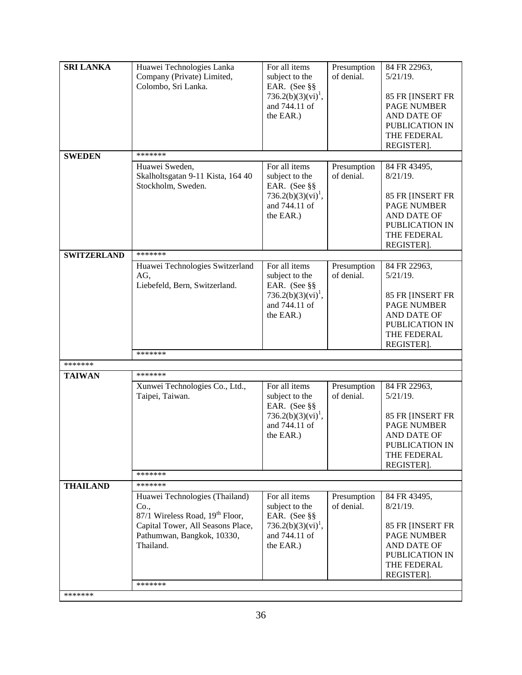| Company (Private) Limited,<br>of denial.<br>subject to the<br>$5/21/19$ .<br>Colombo, Sri Lanka.<br>EAR. (See §§<br>736.2(b)(3)(vi) <sup>1</sup> ,<br>85 FR [INSERT FR<br>and 744.11 of<br>PAGE NUMBER<br>the EAR.)<br>AND DATE OF<br>PUBLICATION IN<br>THE FEDERAL<br>REGISTER].<br>*******<br><b>SWEDEN</b><br>For all items<br>Huawei Sweden,<br>Presumption<br>84 FR 43495,<br>of denial.<br>Skalholtsgatan 9-11 Kista, 164 40<br>subject to the<br>$8/21/19$ .<br>Stockholm, Sweden.<br>EAR. (See §§<br>$736.2(b)(3)(vi)^{1}$ ,<br>85 FR [INSERT FR<br>and 744.11 of<br><b>PAGE NUMBER</b><br>the EAR.)<br>AND DATE OF<br>PUBLICATION IN<br>THE FEDERAL<br>REGISTER].<br><b>SWITZERLAND</b><br>*******<br>For all items<br>Huawei Technologies Switzerland<br>84 FR 22963,<br>Presumption<br>of denial.<br>$5/21/19$ .<br>AG,<br>subject to the<br>Liebefeld, Bern, Switzerland.<br>EAR. (See §§<br>736.2(b)(3)(vi) <sup>1</sup> ,<br>85 FR [INSERT FR<br>and 744.11 of<br><b>PAGE NUMBER</b><br>AND DATE OF<br>the EAR.)<br>PUBLICATION IN<br>THE FEDERAL<br>REGISTER].<br>*******<br>*******<br>*******<br><b>TAIWAN</b><br>For all items<br>Presumption<br>84 FR 22963,<br>Xunwei Technologies Co., Ltd.,<br>of denial.<br>Taipei, Taiwan.<br>subject to the<br>$5/21/19$ .<br>EAR. (See §§<br>$736.2(b)(3)(vi)^{1}$ ,<br>85 FR [INSERT FR<br>and 744.11 of<br><b>PAGE NUMBER</b><br>the EAR.)<br>AND DATE OF<br>PUBLICATION IN<br>THE FEDERAL<br>REGISTER].<br>*******<br>*******<br><b>THAILAND</b><br>Huawei Technologies (Thailand)<br>For all items<br>Presumption<br>84 FR 43495,<br>subject to the<br>of denial.<br>$8/21/19$ .<br>Co.,<br>87/1 Wireless Road, 19 <sup>th</sup> Floor,<br>EAR. (See §§ | Capital Tower, All Seasons Place,<br>736.2(b)(3)(vi) <sup>1</sup> ,<br>85 FR [INSERT FR<br>Pathumwan, Bangkok, 10330,<br>and 744.11 of<br><b>PAGE NUMBER</b><br>Thailand.<br>the EAR.)<br>AND DATE OF<br>PUBLICATION IN<br>THE FEDERAL<br>REGISTER].<br>******* | <b>SRI LANKA</b> | Huawei Technologies Lanka | For all items | Presumption | 84 FR 22963, |
|-----------------------------------------------------------------------------------------------------------------------------------------------------------------------------------------------------------------------------------------------------------------------------------------------------------------------------------------------------------------------------------------------------------------------------------------------------------------------------------------------------------------------------------------------------------------------------------------------------------------------------------------------------------------------------------------------------------------------------------------------------------------------------------------------------------------------------------------------------------------------------------------------------------------------------------------------------------------------------------------------------------------------------------------------------------------------------------------------------------------------------------------------------------------------------------------------------------------------------------------------------------------------------------------------------------------------------------------------------------------------------------------------------------------------------------------------------------------------------------------------------------------------------------------------------------------------------------------------------------------------------------------------------------------------------------------------------------------------|-----------------------------------------------------------------------------------------------------------------------------------------------------------------------------------------------------------------------------------------------------------------|------------------|---------------------------|---------------|-------------|--------------|
|                                                                                                                                                                                                                                                                                                                                                                                                                                                                                                                                                                                                                                                                                                                                                                                                                                                                                                                                                                                                                                                                                                                                                                                                                                                                                                                                                                                                                                                                                                                                                                                                                                                                                                                       |                                                                                                                                                                                                                                                                 |                  |                           |               |             |              |
|                                                                                                                                                                                                                                                                                                                                                                                                                                                                                                                                                                                                                                                                                                                                                                                                                                                                                                                                                                                                                                                                                                                                                                                                                                                                                                                                                                                                                                                                                                                                                                                                                                                                                                                       |                                                                                                                                                                                                                                                                 |                  |                           |               |             |              |
|                                                                                                                                                                                                                                                                                                                                                                                                                                                                                                                                                                                                                                                                                                                                                                                                                                                                                                                                                                                                                                                                                                                                                                                                                                                                                                                                                                                                                                                                                                                                                                                                                                                                                                                       |                                                                                                                                                                                                                                                                 |                  |                           |               |             |              |
|                                                                                                                                                                                                                                                                                                                                                                                                                                                                                                                                                                                                                                                                                                                                                                                                                                                                                                                                                                                                                                                                                                                                                                                                                                                                                                                                                                                                                                                                                                                                                                                                                                                                                                                       |                                                                                                                                                                                                                                                                 |                  |                           |               |             |              |
|                                                                                                                                                                                                                                                                                                                                                                                                                                                                                                                                                                                                                                                                                                                                                                                                                                                                                                                                                                                                                                                                                                                                                                                                                                                                                                                                                                                                                                                                                                                                                                                                                                                                                                                       |                                                                                                                                                                                                                                                                 |                  |                           |               |             |              |
|                                                                                                                                                                                                                                                                                                                                                                                                                                                                                                                                                                                                                                                                                                                                                                                                                                                                                                                                                                                                                                                                                                                                                                                                                                                                                                                                                                                                                                                                                                                                                                                                                                                                                                                       |                                                                                                                                                                                                                                                                 |                  |                           |               |             |              |
|                                                                                                                                                                                                                                                                                                                                                                                                                                                                                                                                                                                                                                                                                                                                                                                                                                                                                                                                                                                                                                                                                                                                                                                                                                                                                                                                                                                                                                                                                                                                                                                                                                                                                                                       |                                                                                                                                                                                                                                                                 |                  |                           |               |             |              |
|                                                                                                                                                                                                                                                                                                                                                                                                                                                                                                                                                                                                                                                                                                                                                                                                                                                                                                                                                                                                                                                                                                                                                                                                                                                                                                                                                                                                                                                                                                                                                                                                                                                                                                                       |                                                                                                                                                                                                                                                                 |                  |                           |               |             |              |
|                                                                                                                                                                                                                                                                                                                                                                                                                                                                                                                                                                                                                                                                                                                                                                                                                                                                                                                                                                                                                                                                                                                                                                                                                                                                                                                                                                                                                                                                                                                                                                                                                                                                                                                       |                                                                                                                                                                                                                                                                 |                  |                           |               |             |              |
|                                                                                                                                                                                                                                                                                                                                                                                                                                                                                                                                                                                                                                                                                                                                                                                                                                                                                                                                                                                                                                                                                                                                                                                                                                                                                                                                                                                                                                                                                                                                                                                                                                                                                                                       |                                                                                                                                                                                                                                                                 |                  |                           |               |             |              |
|                                                                                                                                                                                                                                                                                                                                                                                                                                                                                                                                                                                                                                                                                                                                                                                                                                                                                                                                                                                                                                                                                                                                                                                                                                                                                                                                                                                                                                                                                                                                                                                                                                                                                                                       |                                                                                                                                                                                                                                                                 |                  |                           |               |             |              |
|                                                                                                                                                                                                                                                                                                                                                                                                                                                                                                                                                                                                                                                                                                                                                                                                                                                                                                                                                                                                                                                                                                                                                                                                                                                                                                                                                                                                                                                                                                                                                                                                                                                                                                                       |                                                                                                                                                                                                                                                                 |                  |                           |               |             |              |
|                                                                                                                                                                                                                                                                                                                                                                                                                                                                                                                                                                                                                                                                                                                                                                                                                                                                                                                                                                                                                                                                                                                                                                                                                                                                                                                                                                                                                                                                                                                                                                                                                                                                                                                       |                                                                                                                                                                                                                                                                 |                  |                           |               |             |              |
|                                                                                                                                                                                                                                                                                                                                                                                                                                                                                                                                                                                                                                                                                                                                                                                                                                                                                                                                                                                                                                                                                                                                                                                                                                                                                                                                                                                                                                                                                                                                                                                                                                                                                                                       |                                                                                                                                                                                                                                                                 |                  |                           |               |             |              |
|                                                                                                                                                                                                                                                                                                                                                                                                                                                                                                                                                                                                                                                                                                                                                                                                                                                                                                                                                                                                                                                                                                                                                                                                                                                                                                                                                                                                                                                                                                                                                                                                                                                                                                                       |                                                                                                                                                                                                                                                                 |                  |                           |               |             |              |
|                                                                                                                                                                                                                                                                                                                                                                                                                                                                                                                                                                                                                                                                                                                                                                                                                                                                                                                                                                                                                                                                                                                                                                                                                                                                                                                                                                                                                                                                                                                                                                                                                                                                                                                       |                                                                                                                                                                                                                                                                 |                  |                           |               |             |              |
|                                                                                                                                                                                                                                                                                                                                                                                                                                                                                                                                                                                                                                                                                                                                                                                                                                                                                                                                                                                                                                                                                                                                                                                                                                                                                                                                                                                                                                                                                                                                                                                                                                                                                                                       |                                                                                                                                                                                                                                                                 |                  |                           |               |             |              |
|                                                                                                                                                                                                                                                                                                                                                                                                                                                                                                                                                                                                                                                                                                                                                                                                                                                                                                                                                                                                                                                                                                                                                                                                                                                                                                                                                                                                                                                                                                                                                                                                                                                                                                                       |                                                                                                                                                                                                                                                                 |                  |                           |               |             |              |
|                                                                                                                                                                                                                                                                                                                                                                                                                                                                                                                                                                                                                                                                                                                                                                                                                                                                                                                                                                                                                                                                                                                                                                                                                                                                                                                                                                                                                                                                                                                                                                                                                                                                                                                       |                                                                                                                                                                                                                                                                 |                  |                           |               |             |              |
|                                                                                                                                                                                                                                                                                                                                                                                                                                                                                                                                                                                                                                                                                                                                                                                                                                                                                                                                                                                                                                                                                                                                                                                                                                                                                                                                                                                                                                                                                                                                                                                                                                                                                                                       |                                                                                                                                                                                                                                                                 |                  |                           |               |             |              |
|                                                                                                                                                                                                                                                                                                                                                                                                                                                                                                                                                                                                                                                                                                                                                                                                                                                                                                                                                                                                                                                                                                                                                                                                                                                                                                                                                                                                                                                                                                                                                                                                                                                                                                                       |                                                                                                                                                                                                                                                                 |                  |                           |               |             |              |
|                                                                                                                                                                                                                                                                                                                                                                                                                                                                                                                                                                                                                                                                                                                                                                                                                                                                                                                                                                                                                                                                                                                                                                                                                                                                                                                                                                                                                                                                                                                                                                                                                                                                                                                       |                                                                                                                                                                                                                                                                 |                  |                           |               |             |              |
|                                                                                                                                                                                                                                                                                                                                                                                                                                                                                                                                                                                                                                                                                                                                                                                                                                                                                                                                                                                                                                                                                                                                                                                                                                                                                                                                                                                                                                                                                                                                                                                                                                                                                                                       |                                                                                                                                                                                                                                                                 |                  |                           |               |             |              |
|                                                                                                                                                                                                                                                                                                                                                                                                                                                                                                                                                                                                                                                                                                                                                                                                                                                                                                                                                                                                                                                                                                                                                                                                                                                                                                                                                                                                                                                                                                                                                                                                                                                                                                                       |                                                                                                                                                                                                                                                                 |                  |                           |               |             |              |
|                                                                                                                                                                                                                                                                                                                                                                                                                                                                                                                                                                                                                                                                                                                                                                                                                                                                                                                                                                                                                                                                                                                                                                                                                                                                                                                                                                                                                                                                                                                                                                                                                                                                                                                       |                                                                                                                                                                                                                                                                 |                  |                           |               |             |              |
|                                                                                                                                                                                                                                                                                                                                                                                                                                                                                                                                                                                                                                                                                                                                                                                                                                                                                                                                                                                                                                                                                                                                                                                                                                                                                                                                                                                                                                                                                                                                                                                                                                                                                                                       |                                                                                                                                                                                                                                                                 |                  |                           |               |             |              |
|                                                                                                                                                                                                                                                                                                                                                                                                                                                                                                                                                                                                                                                                                                                                                                                                                                                                                                                                                                                                                                                                                                                                                                                                                                                                                                                                                                                                                                                                                                                                                                                                                                                                                                                       |                                                                                                                                                                                                                                                                 |                  |                           |               |             |              |
|                                                                                                                                                                                                                                                                                                                                                                                                                                                                                                                                                                                                                                                                                                                                                                                                                                                                                                                                                                                                                                                                                                                                                                                                                                                                                                                                                                                                                                                                                                                                                                                                                                                                                                                       |                                                                                                                                                                                                                                                                 |                  |                           |               |             |              |
|                                                                                                                                                                                                                                                                                                                                                                                                                                                                                                                                                                                                                                                                                                                                                                                                                                                                                                                                                                                                                                                                                                                                                                                                                                                                                                                                                                                                                                                                                                                                                                                                                                                                                                                       |                                                                                                                                                                                                                                                                 |                  |                           |               |             |              |
|                                                                                                                                                                                                                                                                                                                                                                                                                                                                                                                                                                                                                                                                                                                                                                                                                                                                                                                                                                                                                                                                                                                                                                                                                                                                                                                                                                                                                                                                                                                                                                                                                                                                                                                       |                                                                                                                                                                                                                                                                 |                  |                           |               |             |              |
|                                                                                                                                                                                                                                                                                                                                                                                                                                                                                                                                                                                                                                                                                                                                                                                                                                                                                                                                                                                                                                                                                                                                                                                                                                                                                                                                                                                                                                                                                                                                                                                                                                                                                                                       |                                                                                                                                                                                                                                                                 |                  |                           |               |             |              |
|                                                                                                                                                                                                                                                                                                                                                                                                                                                                                                                                                                                                                                                                                                                                                                                                                                                                                                                                                                                                                                                                                                                                                                                                                                                                                                                                                                                                                                                                                                                                                                                                                                                                                                                       |                                                                                                                                                                                                                                                                 |                  |                           |               |             |              |
|                                                                                                                                                                                                                                                                                                                                                                                                                                                                                                                                                                                                                                                                                                                                                                                                                                                                                                                                                                                                                                                                                                                                                                                                                                                                                                                                                                                                                                                                                                                                                                                                                                                                                                                       |                                                                                                                                                                                                                                                                 |                  |                           |               |             |              |
|                                                                                                                                                                                                                                                                                                                                                                                                                                                                                                                                                                                                                                                                                                                                                                                                                                                                                                                                                                                                                                                                                                                                                                                                                                                                                                                                                                                                                                                                                                                                                                                                                                                                                                                       |                                                                                                                                                                                                                                                                 |                  |                           |               |             |              |
|                                                                                                                                                                                                                                                                                                                                                                                                                                                                                                                                                                                                                                                                                                                                                                                                                                                                                                                                                                                                                                                                                                                                                                                                                                                                                                                                                                                                                                                                                                                                                                                                                                                                                                                       |                                                                                                                                                                                                                                                                 |                  |                           |               |             |              |
|                                                                                                                                                                                                                                                                                                                                                                                                                                                                                                                                                                                                                                                                                                                                                                                                                                                                                                                                                                                                                                                                                                                                                                                                                                                                                                                                                                                                                                                                                                                                                                                                                                                                                                                       |                                                                                                                                                                                                                                                                 |                  |                           |               |             |              |
|                                                                                                                                                                                                                                                                                                                                                                                                                                                                                                                                                                                                                                                                                                                                                                                                                                                                                                                                                                                                                                                                                                                                                                                                                                                                                                                                                                                                                                                                                                                                                                                                                                                                                                                       |                                                                                                                                                                                                                                                                 |                  |                           |               |             |              |
|                                                                                                                                                                                                                                                                                                                                                                                                                                                                                                                                                                                                                                                                                                                                                                                                                                                                                                                                                                                                                                                                                                                                                                                                                                                                                                                                                                                                                                                                                                                                                                                                                                                                                                                       |                                                                                                                                                                                                                                                                 |                  |                           |               |             |              |
|                                                                                                                                                                                                                                                                                                                                                                                                                                                                                                                                                                                                                                                                                                                                                                                                                                                                                                                                                                                                                                                                                                                                                                                                                                                                                                                                                                                                                                                                                                                                                                                                                                                                                                                       |                                                                                                                                                                                                                                                                 |                  |                           |               |             |              |
|                                                                                                                                                                                                                                                                                                                                                                                                                                                                                                                                                                                                                                                                                                                                                                                                                                                                                                                                                                                                                                                                                                                                                                                                                                                                                                                                                                                                                                                                                                                                                                                                                                                                                                                       |                                                                                                                                                                                                                                                                 |                  |                           |               |             |              |
|                                                                                                                                                                                                                                                                                                                                                                                                                                                                                                                                                                                                                                                                                                                                                                                                                                                                                                                                                                                                                                                                                                                                                                                                                                                                                                                                                                                                                                                                                                                                                                                                                                                                                                                       |                                                                                                                                                                                                                                                                 |                  |                           |               |             |              |
|                                                                                                                                                                                                                                                                                                                                                                                                                                                                                                                                                                                                                                                                                                                                                                                                                                                                                                                                                                                                                                                                                                                                                                                                                                                                                                                                                                                                                                                                                                                                                                                                                                                                                                                       |                                                                                                                                                                                                                                                                 |                  |                           |               |             |              |
|                                                                                                                                                                                                                                                                                                                                                                                                                                                                                                                                                                                                                                                                                                                                                                                                                                                                                                                                                                                                                                                                                                                                                                                                                                                                                                                                                                                                                                                                                                                                                                                                                                                                                                                       |                                                                                                                                                                                                                                                                 |                  |                           |               |             |              |
|                                                                                                                                                                                                                                                                                                                                                                                                                                                                                                                                                                                                                                                                                                                                                                                                                                                                                                                                                                                                                                                                                                                                                                                                                                                                                                                                                                                                                                                                                                                                                                                                                                                                                                                       |                                                                                                                                                                                                                                                                 |                  |                           |               |             |              |
|                                                                                                                                                                                                                                                                                                                                                                                                                                                                                                                                                                                                                                                                                                                                                                                                                                                                                                                                                                                                                                                                                                                                                                                                                                                                                                                                                                                                                                                                                                                                                                                                                                                                                                                       |                                                                                                                                                                                                                                                                 |                  |                           |               |             |              |
|                                                                                                                                                                                                                                                                                                                                                                                                                                                                                                                                                                                                                                                                                                                                                                                                                                                                                                                                                                                                                                                                                                                                                                                                                                                                                                                                                                                                                                                                                                                                                                                                                                                                                                                       |                                                                                                                                                                                                                                                                 |                  |                           |               |             |              |
|                                                                                                                                                                                                                                                                                                                                                                                                                                                                                                                                                                                                                                                                                                                                                                                                                                                                                                                                                                                                                                                                                                                                                                                                                                                                                                                                                                                                                                                                                                                                                                                                                                                                                                                       |                                                                                                                                                                                                                                                                 |                  |                           |               |             |              |
|                                                                                                                                                                                                                                                                                                                                                                                                                                                                                                                                                                                                                                                                                                                                                                                                                                                                                                                                                                                                                                                                                                                                                                                                                                                                                                                                                                                                                                                                                                                                                                                                                                                                                                                       |                                                                                                                                                                                                                                                                 |                  |                           |               |             |              |
|                                                                                                                                                                                                                                                                                                                                                                                                                                                                                                                                                                                                                                                                                                                                                                                                                                                                                                                                                                                                                                                                                                                                                                                                                                                                                                                                                                                                                                                                                                                                                                                                                                                                                                                       | *******                                                                                                                                                                                                                                                         |                  |                           |               |             |              |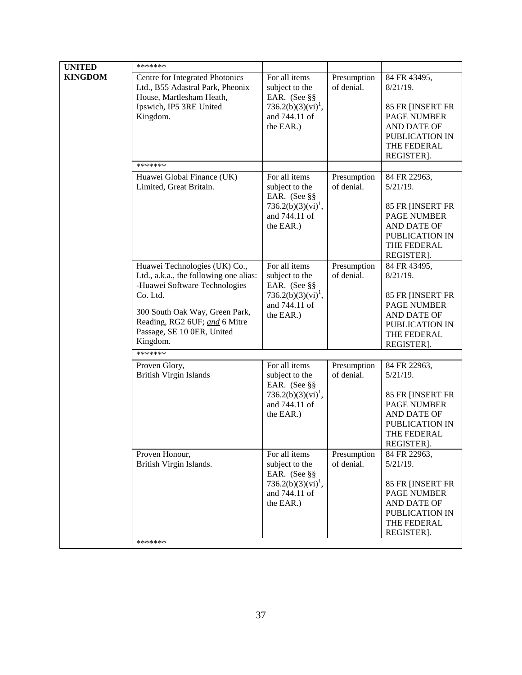| <b>UNITED</b>  | *******                                                                                                                                                                                                                           |                                                                                                                 |                           |                                                                                                                                            |
|----------------|-----------------------------------------------------------------------------------------------------------------------------------------------------------------------------------------------------------------------------------|-----------------------------------------------------------------------------------------------------------------|---------------------------|--------------------------------------------------------------------------------------------------------------------------------------------|
| <b>KINGDOM</b> | Centre for Integrated Photonics<br>Ltd., B55 Adastral Park, Pheonix<br>House, Martlesham Heath,<br>Ipswich, IP5 3RE United<br>Kingdom.                                                                                            | For all items<br>subject to the<br>EAR. (See §§<br>$736.2(b)(3)(vi)^1$ ,<br>and 744.11 of<br>the EAR.)          | Presumption<br>of denial. | 84 FR 43495,<br>$8/21/19$ .<br>85 FR [INSERT FR<br><b>PAGE NUMBER</b><br><b>AND DATE OF</b><br>PUBLICATION IN<br>THE FEDERAL<br>REGISTER]. |
|                | *******                                                                                                                                                                                                                           |                                                                                                                 |                           |                                                                                                                                            |
|                | Huawei Global Finance (UK)<br>Limited, Great Britain.                                                                                                                                                                             | For all items<br>subject to the<br>EAR. (See §§<br>736.2(b)(3)(vi) <sup>1</sup> ,<br>and 744.11 of<br>the EAR.) | Presumption<br>of denial. | 84 FR 22963,<br>$5/21/19$ .<br>85 FR [INSERT FR<br><b>PAGE NUMBER</b><br>AND DATE OF<br>PUBLICATION IN<br>THE FEDERAL<br>REGISTER].        |
|                | Huawei Technologies (UK) Co.,<br>Ltd., a.k.a., the following one alias:<br>-Huawei Software Technologies<br>Co. Ltd.<br>300 South Oak Way, Green Park,<br>Reading, RG2 6UF; and 6 Mitre<br>Passage, SE 10 0ER, United<br>Kingdom. | For all items<br>subject to the<br>EAR. (See §§<br>$736.2(b)(3)(vi)^{1}$ ,<br>and 744.11 of<br>the EAR.)        | Presumption<br>of denial. | 84 FR 43495,<br>$8/21/19$ .<br>85 FR [INSERT FR<br><b>PAGE NUMBER</b><br>AND DATE OF<br>PUBLICATION IN<br>THE FEDERAL<br>REGISTER].        |
|                | *******                                                                                                                                                                                                                           |                                                                                                                 |                           |                                                                                                                                            |
|                | Proven Glory,<br><b>British Virgin Islands</b>                                                                                                                                                                                    | For all items<br>subject to the<br>EAR. (See §§<br>$736.2(b)(3)(vi)^{1}$ ,<br>and 744.11 of<br>the EAR.)        | Presumption<br>of denial. | 84 FR 22963,<br>$5/21/19$ .<br>85 FR [INSERT FR<br><b>PAGE NUMBER</b><br>AND DATE OF<br>PUBLICATION IN<br>THE FEDERAL<br>REGISTER].        |
|                | Proven Honour,<br>British Virgin Islands.<br>*******                                                                                                                                                                              | For all items<br>subject to the<br>EAR. (See §§<br>736.2(b)(3)(vi) <sup>1</sup> ,<br>and 744.11 of<br>the EAR.) | Presumption<br>of denial. | 84 FR 22963,<br>$5/21/19$ .<br>85 FR [INSERT FR<br><b>PAGE NUMBER</b><br>AND DATE OF<br>PUBLICATION IN<br>THE FEDERAL<br>REGISTER].        |
|                |                                                                                                                                                                                                                                   |                                                                                                                 |                           |                                                                                                                                            |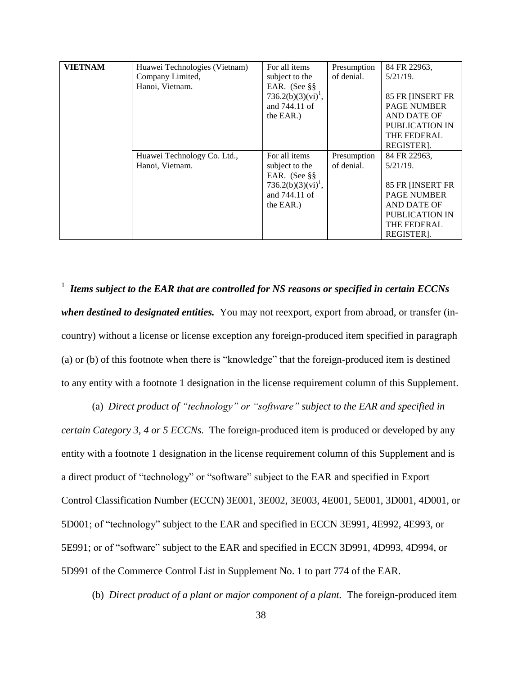| <b>VIETNAM</b> | Huawei Technologies (Vietnam) | For all items                  | Presumption | 84 FR 22963,       |
|----------------|-------------------------------|--------------------------------|-------------|--------------------|
|                | Company Limited,              | subject to the                 | of denial.  | $5/21/19$ .        |
|                | Hanoi, Vietnam.               | EAR. (See §§                   |             |                    |
|                |                               | 736.2(b)(3)(vi) <sup>1</sup> , |             | 85 FR [INSERT FR   |
|                |                               | and 744.11 of                  |             | <b>PAGE NUMBER</b> |
|                |                               | the EAR.)                      |             | AND DATE OF        |
|                |                               |                                |             | PUBLICATION IN     |
|                |                               |                                |             | THE FEDERAL        |
|                |                               |                                |             | REGISTER].         |
|                | Huawei Technology Co. Ltd.,   | For all items                  | Presumption | 84 FR 22963,       |
|                | Hanoi, Vietnam.               | subject to the                 | of denial.  | $5/21/19$ .        |
|                |                               | EAR. (See §§                   |             |                    |
|                |                               | $736.2(b)(3)(vi)^{1}$ ,        |             | 85 FR [INSERT FR   |
|                |                               | and 744.11 of                  |             | <b>PAGE NUMBER</b> |
|                |                               | the EAR.)                      |             | AND DATE OF        |
|                |                               |                                |             | PUBLICATION IN     |
|                |                               |                                |             | THE FEDERAL        |
|                |                               |                                |             | REGISTER].         |

1 *Items subject to the EAR that are controlled for NS reasons or specified in certain ECCNs when destined to designated entities.* You may not reexport, export from abroad, or transfer (incountry) without a license or license exception any foreign-produced item specified in paragraph (a) or (b) of this footnote when there is "knowledge" that the foreign-produced item is destined to any entity with a footnote 1 designation in the license requirement column of this Supplement.

(a) *Direct product of "technology" or "software" subject to the EAR and specified in certain Category 3, 4 or 5 ECCNs.* The foreign-produced item is produced or developed by any entity with a footnote 1 designation in the license requirement column of this Supplement and is a direct product of "technology" or "software" subject to the EAR and specified in Export Control Classification Number (ECCN) 3E001, 3E002, 3E003, 4E001, 5E001, 3D001, 4D001, or 5D001; of "technology" subject to the EAR and specified in ECCN 3E991, 4E992, 4E993, or 5E991; or of "software" subject to the EAR and specified in ECCN 3D991, 4D993, 4D994, or 5D991 of the Commerce Control List in Supplement No. 1 to part 774 of the EAR.

(b) *Direct product of a plant or major component of a plant.* The foreign-produced item